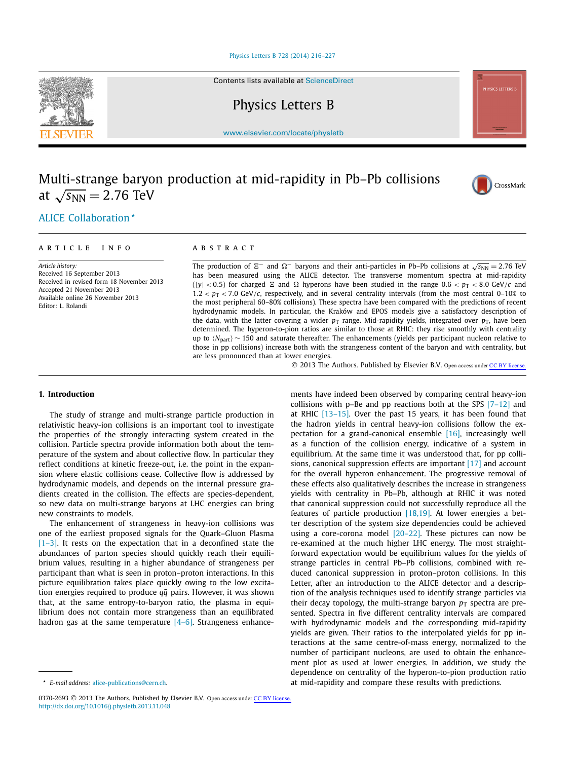#### [Physics Letters B 728 \(2014\) 216–227](http://dx.doi.org/10.1016/j.physletb.2013.11.048)

Contents lists available at [ScienceDirect](http://www.ScienceDirect.com/)

Physics Letters B

[www.elsevier.com/locate/physletb](http://www.elsevier.com/locate/physletb)

# Multi-strange baryon production at mid-rapidity in Pb–Pb collisions at  $\sqrt{s_{NN}}$  = 2.76 TeV



# article info abstract

[.ALICE Collaboration](#page-6-0) *-*

*Article history:* Received 16 September 2013 Received in revised form 18 November 2013 Accepted 21 November 2013 Available online 26 November 2013 Editor: L. Rolandi

The production of  $\Xi^-$  and  $\Omega^-$  baryons and their anti-particles in Pb–Pb collisions at  $\sqrt{s_{NN}} = 2.76$  TeV has been measured using the ALICE detector. The transverse momentum spectra at mid-rapidity ( $|y| < 0.5$ ) for charged  $\Xi$  and  $\Omega$  hyperons have been studied in the range  $0.6 < p_T < 8.0$  GeV/*c* and 1.2  $<$   $p_T$   $<$  7.0 GeV/ $c$ , respectively, and in several centrality intervals (from the most central 0–10% to the most peripheral 60–80% collisions). These spectra have been compared with the predictions of recent hydrodynamic models. In particular, the Kraków and EPOS models give a satisfactory description of the data, with the latter covering a wider  $p<sub>T</sub>$  range. Mid-rapidity yields, integrated over  $p<sub>T</sub>$ , have been determined. The hyperon-to-pion ratios are similar to those at RHIC: they rise smoothly with centrality up to *{N<sub>part</sub>}* ∼ 150 and saturate thereafter. The enhancements (yields per participant nucleon relative to those in pp collisions) increase both with the strangeness content of the baryon and with centrality, but are less pronounced than at lower energies.

© 2013 The Authors. Published by Elsevier B.V. Open access under [CC BY license.](http://creativecommons.org/licenses/by/3.0/)

# **1. Introduction**

The study of strange and multi-strange particle production in relativistic heavy-ion collisions is an important tool to investigate the properties of the strongly interacting system created in the collision. Particle spectra provide information both about the temperature of the system and about collective flow. In particular they reflect conditions at kinetic freeze-out, i.e. the point in the expansion where elastic collisions cease. Collective flow is addressed by hydrodynamic models, and depends on the internal pressure gradients created in the collision. The effects are species-dependent, so new data on multi-strange baryons at LHC energies can bring new constraints to models.

The enhancement of strangeness in heavy-ion collisions was one of the earliest proposed signals for the Quark–Gluon Plasma  $[1-3]$ . It rests on the expectation that in a deconfined state the abundances of parton species should quickly reach their equilibrium values, resulting in a higher abundance of strangeness per participant than what is seen in proton–proton interactions. In this picture equilibration takes place quickly owing to the low excitation energies required to produce  $q\bar{q}$  pairs. However, it was shown that, at the same entropy-to-baryon ratio, the plasma in equilibrium does not contain more strangeness than an equilibrated hadron gas at the same temperature  $[4-6]$ . Strangeness enhancements have indeed been observed by comparing central heavy-ion collisions with p–Be and pp reactions both at the SPS  $[7-12]$  and at RHIC [\[13–15\].](#page-6-0) Over the past 15 years, it has been found that the hadron yields in central heavy-ion collisions follow the expectation for a grand-canonical ensemble [\[16\],](#page-6-0) increasingly well as a function of the collision energy, indicative of a system in equilibrium. At the same time it was understood that, for pp collisions, canonical suppression effects are important [\[17\]](#page-6-0) and account for the overall hyperon enhancement. The progressive removal of these effects also qualitatively describes the increase in strangeness yields with centrality in Pb–Pb, although at RHIC it was noted that canonical suppression could not successfully reproduce all the features of particle production [\[18,19\].](#page-6-0) At lower energies a better description of the system size dependencies could be achieved using a core-corona model [\[20–22\].](#page-6-0) These pictures can now be re-examined at the much higher LHC energy. The most straightforward expectation would be equilibrium values for the yields of strange particles in central Pb–Pb collisions, combined with reduced canonical suppression in proton–proton collisions. In this Letter, after an introduction to the ALICE detector and a description of the analysis techniques used to identify strange particles via their decay topology, the multi-strange baryon  $p<sub>T</sub>$  spectra are presented. Spectra in five different centrality intervals are compared with hydrodynamic models and the corresponding mid-rapidity yields are given. Their ratios to the interpolated yields for pp interactions at the same centre-of-mass energy, normalized to the number of participant nucleons, are used to obtain the enhancement plot as used at lower energies. In addition, we study the dependence on centrality of the hyperon-to-pion production ratio at mid-rapidity and compare these results with predictions.





*<sup>-</sup> E-mail address:* [alice-publications@cern.ch.](mailto:alice-publications@cern.ch)

<sup>0370-2693 © 2013</sup> The Authors. Published by Elsevier B.V. Open access under [CC BY license.](http://creativecommons.org/licenses/by/3.0/) <http://dx.doi.org/10.1016/j.physletb.2013.11.048>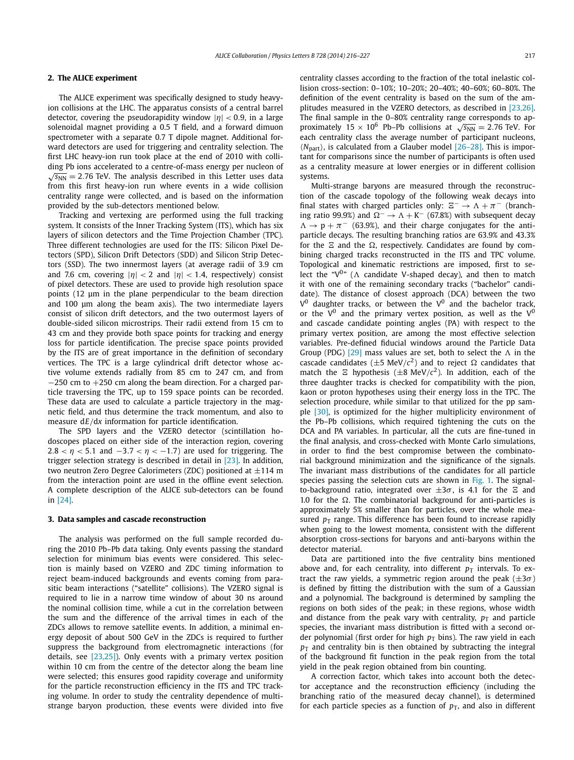## **2. The ALICE experiment**

The ALICE experiment was specifically designed to study heavyion collisions at the LHC. The apparatus consists of a central barrel detector, covering the pseudorapidity window |*η*| *<* <sup>0</sup>*.*9, in a large solenoidal magnet providing a 0.5 T field, and a forward dimuon spectrometer with a separate 0.7 T dipole magnet. Additional forward detectors are used for triggering and centrality selection. The first LHC heavy-ion run took place at the end of 2010 with colliding Pb ions accelerated to a centre-of-mass energy per nucleon of  $\sqrt{s_{NN}}$  = 2.76 TeV. The analysis described in this Letter uses data from this first heavy-ion run where events in a wide collision centrality range were collected, and is based on the information provided by the sub-detectors mentioned below.

Tracking and vertexing are performed using the full tracking system. It consists of the Inner Tracking System (ITS), which has six layers of silicon detectors and the Time Projection Chamber (TPC). Three different technologies are used for the ITS: Silicon Pixel Detectors (SPD), Silicon Drift Detectors (SDD) and Silicon Strip Detectors (SSD). The two innermost layers (at average radii of 3.9 cm and 7.6 cm, covering  $|\eta| < 2$  and  $|\eta| < 1.4$ , respectively) consist of pixel detectors. These are used to provide high resolution space points (12 μm in the plane perpendicular to the beam direction and 100 μm along the beam axis). The two intermediate layers consist of silicon drift detectors, and the two outermost layers of double-sided silicon microstrips. Their radii extend from 15 cm to 43 cm and they provide both space points for tracking and energy loss for particle identification. The precise space points provided by the ITS are of great importance in the definition of secondary vertices. The TPC is a large cylindrical drift detector whose active volume extends radially from 85 cm to 247 cm, and from −250 cm to +250 cm along the beam direction. For a charged particle traversing the TPC, up to 159 space points can be recorded. These data are used to calculate a particle trajectory in the magnetic field, and thus determine the track momentum, and also to measure d*E/*d*x* information for particle identification.

The SPD layers and the VZERO detector (scintillation hodoscopes placed on either side of the interaction region, covering <sup>2</sup>*.*<sup>8</sup> *< η <* <sup>5</sup>*.*1 and −3*.*<sup>7</sup> *< η <* −1*.*7) are used for triggering. The trigger selection strategy is described in detail in [\[23\].](#page-6-0) In addition, two neutron Zero Degree Calorimeters (ZDC) positioned at  $\pm 114$  m from the interaction point are used in the offline event selection. A complete description of the ALICE sub-detectors can be found in [\[24\].](#page-6-0)

# **3. Data samples and cascade reconstruction**

The analysis was performed on the full sample recorded during the 2010 Pb–Pb data taking. Only events passing the standard selection for minimum bias events were considered. This selection is mainly based on VZERO and ZDC timing information to reject beam-induced backgrounds and events coming from parasitic beam interactions ("satellite" collisions). The VZERO signal is required to lie in a narrow time window of about 30 ns around the nominal collision time, while a cut in the correlation between the sum and the difference of the arrival times in each of the ZDCs allows to remove satellite events. In addition, a minimal energy deposit of about 500 GeV in the ZDCs is required to further suppress the background from electromagnetic interactions (for details, see  $[23,25]$ ). Only events with a primary vertex position within 10 cm from the centre of the detector along the beam line were selected; this ensures good rapidity coverage and uniformity for the particle reconstruction efficiency in the ITS and TPC tracking volume. In order to study the centrality dependence of multistrange baryon production, these events were divided into five centrality classes according to the fraction of the total inelastic collision cross-section: 0–10%; 10–20%; 20–40%; 40–60%; 60–80%. The definition of the event centrality is based on the sum of the amplitudes measured in the VZERO detectors, as described in [\[23,26\].](#page-6-0) The final sample in the 0–80% centrality range corresponds to approximately 15 × 10<sup>6</sup> Pb–Pb collisions at  $\sqrt{s_{NN}}$  = 2.76 TeV. For each centrality class the average number of participant nucleons,  $\langle N_{\text{part}} \rangle$ , is calculated from a Glauber model  $[26-28]$ . This is important for comparisons since the number of participants is often used as a centrality measure at lower energies or in different collision systems.

Multi-strange baryons are measured through the reconstruction of the cascade topology of the following weak decays into final states with charged particles only:  $\Xi^- \to \Lambda + \pi^-$  (branching ratio 99.9%) and  $\Omega^- \rightarrow \Lambda + K^-$  (67.8%) with subsequent decay  $\Lambda \rightarrow p + \pi^-$  (63.9%), and their charge conjugates for the antiparticle decays. The resulting branching ratios are 63.9% and 43.3% for the  $\Xi$  and the  $\Omega$ , respectively. Candidates are found by combining charged tracks reconstructed in the ITS and TPC volume. Topological and kinematic restrictions are imposed, first to select the " $V^{0}$ " ( $\Lambda$  candidate V-shaped decay), and then to match it with one of the remaining secondary tracks ("bachelor" candidate). The distance of closest approach (DCA) between the two  $V^0$  daughter tracks, or between the  $V^0$  and the bachelor track, or the  $V^0$  and the primary vertex position, as well as the  $V^0$ and cascade candidate pointing angles (PA) with respect to the primary vertex position, are among the most effective selection variables. Pre-defined fiducial windows around the Particle Data Group (PDG) [\[29\]](#page-6-0) mass values are set, both to select the  $\Lambda$  in the cascade candidates ( $\pm$ 5 MeV/ $c$ <sup>2</sup>) and to reject  $\Omega$  candidates that match the  $\Xi$  hypothesis ( $\pm 8$  MeV/ $c^2$ ). In addition, each of the three daughter tracks is checked for compatibility with the pion, kaon or proton hypotheses using their energy loss in the TPC. The selection procedure, while similar to that utilized for the pp sample [\[30\],](#page-6-0) is optimized for the higher multiplicity environment of the Pb–Pb collisions, which required tightening the cuts on the DCA and PA variables. In particular, all the cuts are fine-tuned in the final analysis, and cross-checked with Monte Carlo simulations, in order to find the best compromise between the combinatorial background minimization and the significance of the signals. The invariant mass distributions of the candidates for all particle species passing the selection cuts are shown in [Fig. 1.](#page-2-0) The signalto-background ratio, integrated over  $\pm 3\sigma$ , is 4.1 for the  $\Xi$  and 1.0 for the  $\Omega$ . The combinatorial background for anti-particles is approximately 5% smaller than for particles, over the whole measured  $p_T$  range. This difference has been found to increase rapidly when going to the lowest momenta, consistent with the different absorption cross-sections for baryons and anti-baryons within the detector material.

Data are partitioned into the five centrality bins mentioned above and, for each centrality, into different  $p<sub>T</sub>$  intervals. To extract the raw yields, a symmetric region around the peak  $(\pm 3\sigma)$ is defined by fitting the distribution with the sum of a Gaussian and a polynomial. The background is determined by sampling the regions on both sides of the peak; in these regions, whose width and distance from the peak vary with centrality,  $p<sub>T</sub>$  and particle species, the invariant mass distribution is fitted with a second order polynomial (first order for high  $p<sub>T</sub>$  bins). The raw yield in each  $p<sub>T</sub>$  and centrality bin is then obtained by subtracting the integral of the background fit function in the peak region from the total yield in the peak region obtained from bin counting.

A correction factor, which takes into account both the detector acceptance and the reconstruction efficiency (including the branching ratio of the measured decay channel), is determined for each particle species as a function of  $p<sub>T</sub>$ , and also in different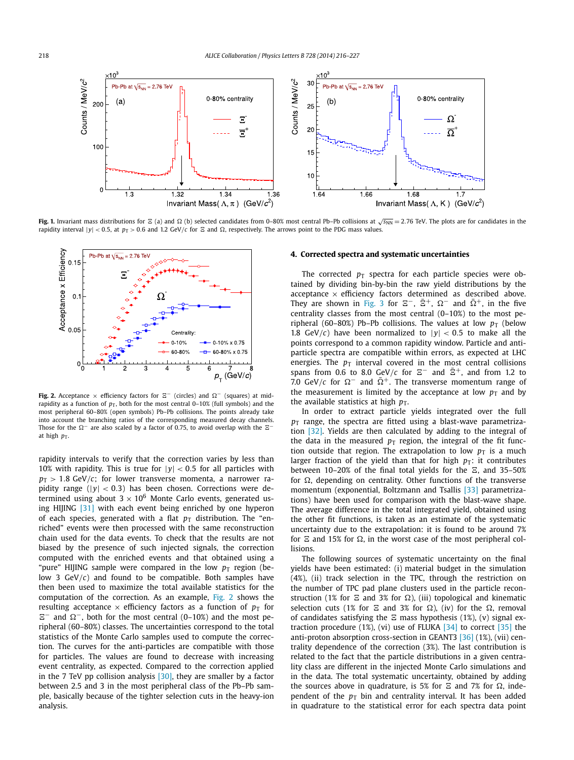<span id="page-2-0"></span>

**Fig. 1.** Invariant mass distributions for  $\Sigma$  (a) and  $\Omega$  (b) selected candidates from 0–80% most central Pb–Pb collisions at  $\sqrt{s_{NN}}$  = 2.76 TeV. The plots are for candidates in the rapidity interval  $|y|$  < 0.5, at  $p_T > 0.6$  and 1.2 GeV/*c* for  $\Xi$  and  $\Omega$ , respectively. The arrows point to the PDG mass values.



**Fig. 2.** Acceptance  $\times$  efficiency factors for  $\Xi^-$  (circles) and  $\Omega^-$  (squares) at midrapidity as a function of  $p<sub>T</sub>$ , both for the most central 0–10% (full symbols) and the most peripheral 60–80% (open symbols) Pb–Pb collisions. The points already take into account the branching ratios of the corresponding measured decay channels. Those for the  $\Omega^-$  are also scaled by a factor of 0.75, to avoid overlap with the  $\Xi^$ at high  $p_T$ .

rapidity intervals to verify that the correction varies by less than 10% with rapidity. This is true for  $|y| < 0.5$  for all particles with  $p_T > 1.8$  GeV/*c*; for lower transverse momenta, a narrower rapidity range (|*y*| *<* 0*.*3) has been chosen. Corrections were determined using about  $3 \times 10^6$  Monte Carlo events, generated using HIJING [\[31\]](#page-6-0) with each event being enriched by one hyperon of each species, generated with a flat  $p<sub>T</sub>$  distribution. The "enriched" events were then processed with the same reconstruction chain used for the data events. To check that the results are not biased by the presence of such injected signals, the correction computed with the enriched events and that obtained using a "pure" HIJING sample were compared in the low  $p_T$  region (below 3 GeV*/c*) and found to be compatible. Both samples have then been used to maximize the total available statistics for the computation of the correction. As an example, Fig. 2 shows the resulting acceptance  $\times$  efficiency factors as a function of  $p_T$  for  $\Xi^-$  and  $\Omega^-$ , both for the most central (0–10%) and the most peripheral (60–80%) classes. The uncertainties correspond to the total statistics of the Monte Carlo samples used to compute the correction. The curves for the anti-particles are compatible with those for particles. The values are found to decrease with increasing event centrality, as expected. Compared to the correction applied in the 7 TeV pp collision analysis  $[30]$ , they are smaller by a factor between 2.5 and 3 in the most peripheral class of the Pb–Pb sample, basically because of the tighter selection cuts in the heavy-ion analysis.

#### **4. Corrected spectra and systematic uncertainties**

The corrected  $p<sub>T</sub>$  spectra for each particle species were obtained by dividing bin-by-bin the raw yield distributions by the acceptance  $\times$  efficiency factors determined as described above. They are shown in [Fig. 3](#page-3-0) for  $\Xi^-$ ,  $\bar{\Xi}^+$ ,  $\Omega^-$  and  $\bar{\Omega}^+$ , in the five centrality classes from the most central (0–10%) to the most peripheral (60–80%) Pb–Pb collisions. The values at low  $p_T$  (below 1.8 GeV/*c*) have been normalized to  $|y| < 0.5$  to make all the points correspond to a common rapidity window. Particle and antiparticle spectra are compatible within errors, as expected at LHC energies. The  $p<sub>T</sub>$  interval covered in the most central collisions spans from 0.6 to 8.0 GeV/*c* for  $\Xi^-$  and  $\bar{\Xi}^+$ , and from 1.2 to 7.0 GeV/*c* for  $\Omega^-$  and  $\overline{\Omega}^+$ . The transverse momentum range of the measurement is limited by the acceptance at low  $p<sub>T</sub>$  and by the available statistics at high  $p_T$ .

In order to extract particle yields integrated over the full  $p<sub>T</sub>$  range, the spectra are fitted using a blast-wave parametrization [\[32\].](#page-6-0) Yields are then calculated by adding to the integral of the data in the measured  $p_T$  region, the integral of the fit function outside that region. The extrapolation to low  $p<sub>T</sub>$  is a much larger fraction of the yield than that for high  $p_T$ : it contributes between 10-20% of the final total yields for the  $\Xi$ , and 35-50% for  $\Omega$ , depending on centrality. Other functions of the transverse momentum (exponential, Boltzmann and Tsallis [\[33\]](#page-6-0) parametrizations) have been used for comparison with the blast-wave shape. The average difference in the total integrated yield, obtained using the other fit functions, is taken as an estimate of the systematic uncertainty due to the extrapolation: it is found to be around 7% for  $\Xi$  and 15% for  $\Omega$ , in the worst case of the most peripheral collisions.

The following sources of systematic uncertainty on the final yields have been estimated: (i) material budget in the simulation (4%), (ii) track selection in the TPC, through the restriction on the number of TPC pad plane clusters used in the particle reconstruction (1% for  $\Xi$  and 3% for  $\Omega$ ), (iii) topological and kinematic selection cuts (1% for  $\Xi$  and 3% for  $\Omega$ ), (iv) for the  $\Omega$ , removal of candidates satisfying the  $\Xi$  mass hypothesis (1%), (v) signal extraction procedure  $(1\%)$ ,  $(vi)$  use of FLUKA  $\left[34\right]$  to correct  $\left[35\right]$  the anti-proton absorption cross-section in GEANT3 [\[36\]](#page-6-0) (1%), (vii) centrality dependence of the correction (3%). The last contribution is related to the fact that the particle distributions in a given centrality class are different in the injected Monte Carlo simulations and in the data. The total systematic uncertainty, obtained by adding the sources above in quadrature, is 5% for  $\Xi$  and 7% for  $\Omega$ , independent of the  $p_T$  bin and centrality interval. It has been added in quadrature to the statistical error for each spectra data point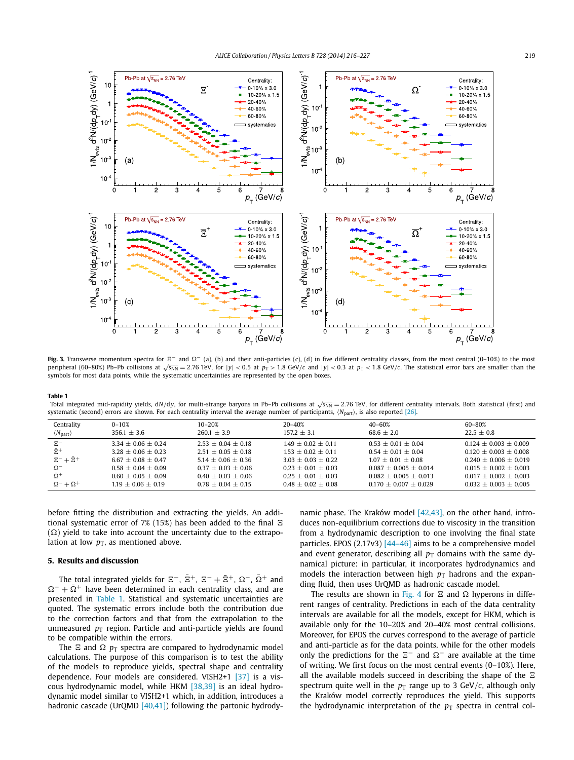<span id="page-3-0"></span>

**Fig. 3.** Transverse momentum spectra for  $\Xi^-$  and  $\Omega^-$  (a), (b) and their anti-particles (c), (d) in five different centrality classes, from the most central (0–10%) to the most peripheral (60-80%) Pb-Pb collisions at  $\sqrt{s_{NN}}$  = 2.76 TeV, for |y| < 0.5 at  $p_T > 1.8$  GeV/c and |y| < 0.3 at  $p_T < 1.8$  GeV/c. The statistical error bars are smaller than the symbols for most data points, while the systematic uncertainties are represented by the open boxes.

**Table 1**

Total integrated mid-rapidity yields,  $dN/dy$ , for multi-strange baryons in Pb–Pb collisions at  $\sqrt{s_{NN}}$  = 2.76 TeV, for different centrality intervals. Both statistical (first) and systematic (second) errors are shown. For each centrality interval the average number of participants,  $\langle N_{\text{part}}\rangle$ , is also reported [\[26\].](#page-6-0)

| Centrality<br>$\langle N_{part} \rangle$ | $0 - 10%$<br>$356.1 + 3.6$ | $10 - 20%$<br>$260.1 + 3.9$ | $20 - 40%$<br>$157.2 + 3.1$ | $40 - 60%$<br>$68.6 + 2.0$ | 60-80%<br>$22.5 + 0.8$      |
|------------------------------------------|----------------------------|-----------------------------|-----------------------------|----------------------------|-----------------------------|
| $E^-$                                    | $3.34 + 0.06 + 0.24$       | $2.53 + 0.04 + 0.18$        | $1.49 + 0.02 + 0.11$        | $0.53 + 0.01 + 0.04$       | $0.124 + 0.003 + 0.009$     |
| $\bar{\Xi}^+$                            | $3.28 + 0.06 + 0.23$       | $2.51 + 0.05 + 0.18$        | $1.53 + 0.02 + 0.11$        | $0.54 + 0.01 + 0.04$       | $0.120 + 0.003 + 0.008$     |
| $E^- + \bar{E}^+$                        | $6.67 + 0.08 + 0.47$       | $5.14 + 0.06 + 0.36$        | $3.03 + 0.03 + 0.22$        | $1.07 + 0.01 + 0.08$       | $0.240 + 0.006 + 0.019$     |
| $\Omega^-$                               | $0.58 + 0.04 + 0.09$       | $0.37 + 0.03 + 0.06$        | $0.23 + 0.01 + 0.03$        | $0.087 + 0.005 + 0.014$    | $0.015 + 0.002 + 0.003$     |
| $\bar{\Omega}^+$                         | $0.60 + 0.05 + 0.09$       | $0.40 + 0.03 + 0.06$        | $0.25 + 0.01 + 0.03$        | $0.082 + 0.005 + 0.013$    | $0.017 + 0.002 + 0.003$     |
| $\Omega^- + \bar{\Omega}^+$              | $1.19 + 0.06 + 0.19$       | $0.78 + 0.04 + 0.15$        | $0.48 + 0.02 + 0.08$        | $0.170 + 0.007 + 0.029$    | $0.032 \pm 0.003 \pm 0.005$ |
|                                          |                            |                             |                             |                            |                             |

before fitting the distribution and extracting the yields. An additional systematic error of 7% (15%) has been added to the final  $\Xi$  $(\Omega)$  yield to take into account the uncertainty due to the extrapolation at low  $p<sub>T</sub>$ , as mentioned above.

# **5. Results and discussion**

The total integrated yields for  $\Xi^-$ ,  $\bar{\Xi}^+$ ,  $\Xi^- + \bar{\Xi}^+$ ,  $\Omega^-$ ,  $\bar{\Omega}^+$  and  $\Omega^- + \bar{\Omega}^+$  have been determined in each centrality class, and are presented in Table 1. Statistical and systematic uncertainties are quoted. The systematic errors include both the contribution due to the correction factors and that from the extrapolation to the unmeasured  $p_T$  region. Particle and anti-particle yields are found to be compatible within the errors.

The  $\Xi$  and  $\Omega$   $p_T$  spectra are compared to hydrodynamic model calculations. The purpose of this comparison is to test the ability of the models to reproduce yields, spectral shape and centrality dependence. Four models are considered. VISH2+1 [\[37\]](#page-6-0) is a viscous hydrodynamic model, while HKM [\[38,39\]](#page-6-0) is an ideal hydrodynamic model similar to VISH2+1 which, in addition, introduces a hadronic cascade (UrQMD [\[40,41\]\)](#page-6-0) following the partonic hydrodynamic phase. The Kraków model [\[42,43\],](#page-6-0) on the other hand, introduces non-equilibrium corrections due to viscosity in the transition from a hydrodynamic description to one involving the final state particles. EPOS (2.17v3) [\[44–46\]](#page-6-0) aims to be a comprehensive model and event generator, describing all  $p<sub>T</sub>$  domains with the same dynamical picture: in particular, it incorporates hydrodynamics and models the interaction between high  $p<sub>T</sub>$  hadrons and the expanding fluid, then uses UrQMD as hadronic cascade model.

The results are shown in [Fig.](#page-4-0) 4 for  $\Xi$  and  $\Omega$  hyperons in different ranges of centrality. Predictions in each of the data centrality intervals are available for all the models, except for HKM, which is available only for the 10–20% and 20–40% most central collisions. Moreover, for EPOS the curves correspond to the average of particle and anti-particle as for the data points, while for the other models only the predictions for the  $\Xi^-$  and  $\Omega^-$  are available at the time of writing. We first focus on the most central events (0–10%). Here, all the available models succeed in describing the shape of the  $\Xi$ spectrum quite well in the  $p<sub>T</sub>$  range up to 3 GeV/*c*, although only the Kraków model correctly reproduces the yield. This supports the hydrodynamic interpretation of the  $p<sub>T</sub>$  spectra in central col-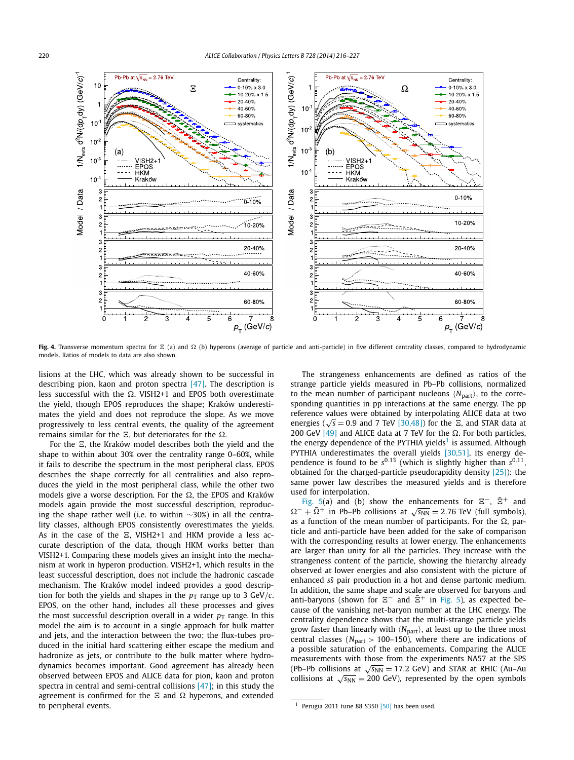<span id="page-4-0"></span>

Fig. 4. Transverse momentum spectra for  $\Xi$  (a) and  $\Omega$  (b) hyperons (average of particle and anti-particle) in five different centrality classes, compared to hydrodynamic models. Ratios of models to data are also shown.

lisions at the LHC, which was already shown to be successful in describing pion, kaon and proton spectra [\[47\].](#page-6-0) The description is less successful with the  $\Omega$ . VISH2+1 and EPOS both overestimate the yield, though EPOS reproduces the shape; Kraków underestimates the yield and does not reproduce the slope. As we move progressively to less central events, the quality of the agreement remains similar for the  $\Xi$ , but deteriorates for the  $\Omega$ .

For the  $E$ , the Kraków model describes both the yield and the shape to within about 30% over the centrality range 0–60%, while it fails to describe the spectrum in the most peripheral class. EPOS describes the shape correctly for all centralities and also reproduces the yield in the most peripheral class, while the other two models give a worse description. For the  $\Omega$ , the EPOS and Kraków models again provide the most successful description, reproducing the shape rather well (i.e. to within ∼30%) in all the centrality classes, although EPOS consistently overestimates the yields. As in the case of the  $\Xi$ , VISH2+1 and HKM provide a less accurate description of the data, though HKM works better than VISH2+1. Comparing these models gives an insight into the mechanism at work in hyperon production. VISH2+1, which results in the least successful description, does not include the hadronic cascade mechanism. The Kraków model indeed provides a good description for both the yields and shapes in the  $p<sub>T</sub>$  range up to 3 GeV/*c*. EPOS, on the other hand, includes all these processes and gives the most successful description overall in a wider  $p<sub>T</sub>$  range. In this model the aim is to account in a single approach for bulk matter and jets, and the interaction between the two; the flux-tubes produced in the initial hard scattering either escape the medium and hadronize as jets, or contribute to the bulk matter where hydrodynamics becomes important. Good agreement has already been observed between EPOS and ALICE data for pion, kaon and proton spectra in central and semi-central collisions  $[47]$ ; in this study the agreement is confirmed for the  $\Xi$  and  $\Omega$  hyperons, and extended to peripheral events.

The strangeness enhancements are defined as ratios of the strange particle yields measured in Pb–Pb collisions, normalized to the mean number of participant nucleons  $\langle N_{\text{part}} \rangle$ , to the corresponding quantities in pp interactions at the same energy. The pp reference values were obtained by interpolating ALICE data at two energies ( $\sqrt{s}$  = 0.9 and 7 TeV [\[30,48\]\)](#page-6-0) for the  $\Xi$ , and STAR data at 200 GeV  $[49]$  and ALICE data at 7 TeV for the  $\Omega$ . For both particles, the energy dependence of the PYTHIA yields<sup>1</sup> is assumed. Although PYTHIA underestimates the overall yields [\[30,51\],](#page-6-0) its energy dependence is found to be *s*0*.*<sup>13</sup> (which is slightly higher than *s*0*.*11, obtained for the charged-particle pseudorapidity density [\[25\]\)](#page-6-0): the same power law describes the measured yields and is therefore used for interpolation.

[Fig. 5\(](#page-5-0)a) and (b) show the enhancements for  $\Xi^-$ ,  $\bar{\Xi}^+$  and  $\Omega^-$  +  $\bar{\Omega}^+$  in Pb–Pb collisions at  $\sqrt{s_{NN}}$  = 2.76 TeV (full symbols), as a function of the mean number of participants. For the  $\Omega$ , particle and anti-particle have been added for the sake of comparison with the corresponding results at lower energy. The enhancements are larger than unity for all the particles. They increase with the strangeness content of the particle, showing the hierarchy already observed at lower energies and also consistent with the picture of enhanced *ss*¯ pair production in a hot and dense partonic medium. In addition, the same shape and scale are observed for baryons and anti-baryons (shown for  $\Xi^-$  and  $\bar{\Xi}^+$  in [Fig. 5\)](#page-5-0), as expected because of the vanishing net-baryon number at the LHC energy. The centrality dependence shows that the multi-strange particle yields grow faster than linearly with  $\langle N_{\text{part}} \rangle$ , at least up to the three most central classes ( $N_{part} > 100-150$ ), where there are indications of a possible saturation of the enhancements. Comparing the ALICE measurements with those from the experiments NA57 at the SPS (Pb–Pb collisions at  $\sqrt{s_{NN}}$  = 17.2 GeV) and STAR at RHIC (Au–Au collisions at  $\sqrt{s_{NN}}$  = 200 GeV), represented by the open symbols

<sup>&</sup>lt;sup>1</sup> Perugia 2011 tune 88 S350 [\[50\]](#page-6-0) has been used.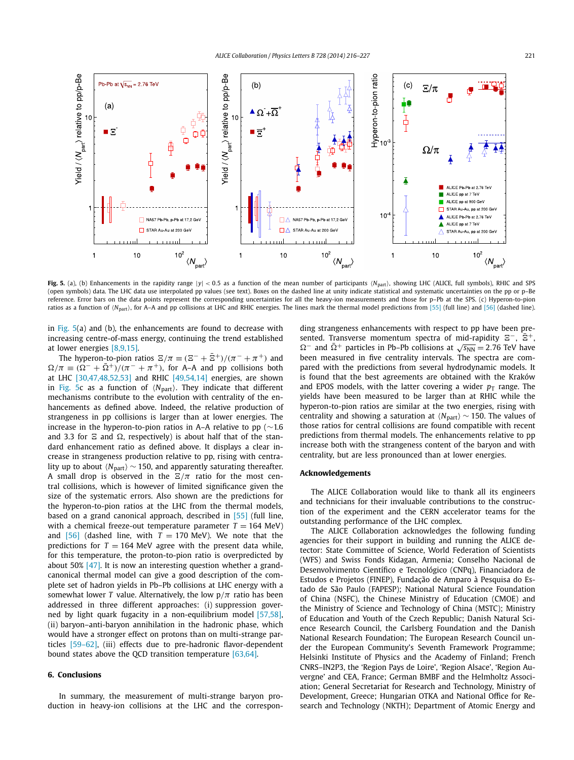<span id="page-5-0"></span>

**Fig. 5.** (a), (b) Enhancements in the rapidity range |*y*| *<* 0*.*5 as a function of the mean number of participants *N*part, showing LHC (ALICE, full symbols), RHIC and SPS (open symbols) data. The LHC data use interpolated pp values (see text). Boxes on the dashed line at unity indicate statistical and systematic uncertainties on the pp or p–Be reference. Error bars on the data points represent the corresponding uncertainties for all the heavy-ion measurements and those for p–Pb at the SPS. (c) Hyperon-to-pion ratios as a function of *{N<sub>part</sub>},* for A–A and pp collisions at LHC and RHIC energies. The lines mark the thermal model predictions from [\[55\]](#page-6-0) (full line) and [\[56\]](#page-6-0) (dashed line).

in Fig. 5(a) and (b), the enhancements are found to decrease with increasing centre-of-mass energy, continuing the trend established at lower energies [\[8,9,15\].](#page-6-0)

The hyperon-to-pion ratios  $\Xi/\pi \equiv (\Xi^{-} + \bar{\Xi}^{+})/(\pi^{-} + \pi^{+})$  and  $\Omega/\pi \equiv (\Omega^{-} + \overline{\Omega}^{+})/(\pi^{-} + \pi^{+})$ , for A–A and pp collisions both at LHC [\[30,47,48,52,53\]](#page-6-0) and RHIC [\[49,54,14\]](#page-6-0) energies, are shown in Fig. 5c as a function of  $\langle N_{\text{part}}\rangle$ . They indicate that different mechanisms contribute to the evolution with centrality of the enhancements as defined above. Indeed, the relative production of strangeness in pp collisions is larger than at lower energies. The increase in the hyperon-to-pion ratios in A–A relative to pp ( $\sim$ 1.6 and 3.3 for  $\Xi$  and  $\Omega$ , respectively) is about half that of the standard enhancement ratio as defined above. It displays a clear increase in strangeness production relative to pp, rising with centrality up to about *{N*<sub>part</sub>} ∼ 150, and apparently saturating thereafter. A small drop is observed in the  $E/\pi$  ratio for the most central collisions, which is however of limited significance given the size of the systematic errors. Also shown are the predictions for the hyperon-to-pion ratios at the LHC from the thermal models, based on a grand canonical approach, described in [\[55\]](#page-6-0) (full line, with a chemical freeze-out temperature parameter  $T = 164$  MeV) and  $[56]$  (dashed line, with  $T = 170$  MeV). We note that the predictions for  $T = 164$  MeV agree with the present data while, for this temperature, the proton-to-pion ratio is overpredicted by about 50% [\[47\].](#page-6-0) It is now an interesting question whether a grandcanonical thermal model can give a good description of the complete set of hadron yields in Pb–Pb collisions at LHC energy with a somewhat lower *T* value. Alternatively, the low  $p/\pi$  ratio has been addressed in three different approaches: (i) suppression governed by light quark fugacity in a non-equilibrium model [\[57,58\],](#page-6-0) (ii) baryon–anti-baryon annihilation in the hadronic phase, which would have a stronger effect on protons than on multi-strange particles [\[59–62\],](#page-6-0) (iii) effects due to pre-hadronic flavor-dependent bound states above the QCD transition temperature [\[63,64\].](#page-6-0)

## **6. Conclusions**

In summary, the measurement of multi-strange baryon production in heavy-ion collisions at the LHC and the corresponding strangeness enhancements with respect to pp have been presented. Transverse momentum spectra of mid-rapidity  $\Xi^-$ ,  $\bar{\Xi}^+$ ,  $\Omega^-$  and  $\overline{\Omega}^+$  particles in Pb–Pb collisions at  $\sqrt{s_{NN}} = 2.76$  TeV have been measured in five centrality intervals. The spectra are compared with the predictions from several hydrodynamic models. It is found that the best agreements are obtained with the Kraków and EPOS models, with the latter covering a wider  $p<sub>T</sub>$  range. The yields have been measured to be larger than at RHIC while the hyperon-to-pion ratios are similar at the two energies, rising with centrality and showing a saturation at *{N<sub>part}</sub>* ∼ 150. The values of those ratios for central collisions are found compatible with recent predictions from thermal models. The enhancements relative to pp increase both with the strangeness content of the baryon and with centrality, but are less pronounced than at lower energies.

#### **Acknowledgements**

The ALICE Collaboration would like to thank all its engineers and technicians for their invaluable contributions to the construction of the experiment and the CERN accelerator teams for the outstanding performance of the LHC complex.

The ALICE Collaboration acknowledges the following funding agencies for their support in building and running the ALICE detector: State Committee of Science, World Federation of Scientists (WFS) and Swiss Fonds Kidagan, Armenia; Conselho Nacional de Desenvolvimento Científico e Tecnológico (CNPq), Financiadora de Estudos e Projetos (FINEP), Fundação de Amparo à Pesquisa do Estado de São Paulo (FAPESP); National Natural Science Foundation of China (NSFC), the Chinese Ministry of Education (CMOE) and the Ministry of Science and Technology of China (MSTC); Ministry of Education and Youth of the Czech Republic; Danish Natural Science Research Council, the Carlsberg Foundation and the Danish National Research Foundation; The European Research Council under the European Community's Seventh Framework Programme; Helsinki Institute of Physics and the Academy of Finland; French CNRS–IN2P3, the 'Region Pays de Loire', 'Region Alsace', 'Region Auvergne' and CEA, France; German BMBF and the Helmholtz Association; General Secretariat for Research and Technology, Ministry of Development, Greece; Hungarian OTKA and National Office for Research and Technology (NKTH); Department of Atomic Energy and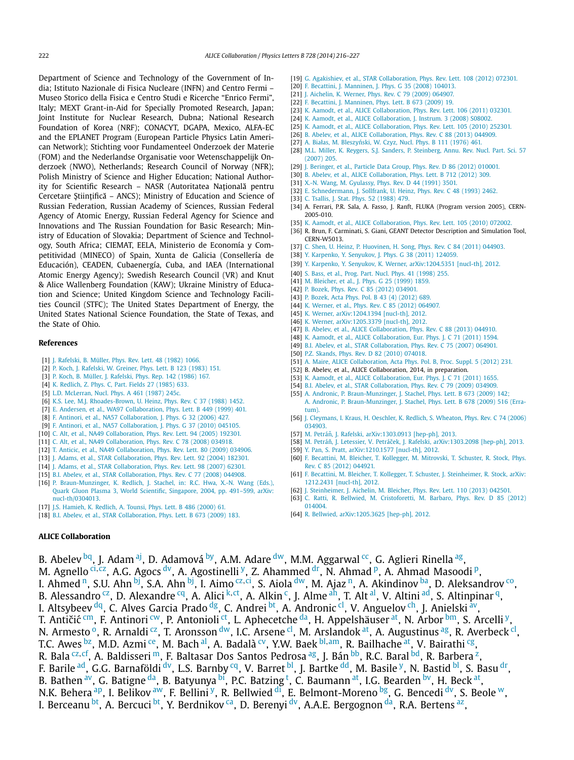<span id="page-6-0"></span>Department of Science and Technology of the Government of India; Istituto Nazionale di Fisica Nucleare (INFN) and Centro Fermi – Museo Storico della Fisica e Centro Studi e Ricerche "Enrico Fermi", Italy; MEXT Grant-in-Aid for Specially Promoted Research, Japan; Joint Institute for Nuclear Research, Dubna; National Research Foundation of Korea (NRF); CONACYT, DGAPA, Mexico, ALFA-EC and the EPLANET Program (European Particle Physics Latin American Network); Stichting voor Fundamenteel Onderzoek der Materie (FOM) and the Nederlandse Organisatie voor Wetenschappelijk Onderzoek (NWO), Netherlands; Research Council of Norway (NFR); Polish Ministry of Science and Higher Education; National Authority for Scientific Research - NASR (Autoritatea Națională pentru Cercetare Stiintifică – ANCS); Ministry of Education and Science of Russian Federation, Russian Academy of Sciences, Russian Federal Agency of Atomic Energy, Russian Federal Agency for Science and Innovations and The Russian Foundation for Basic Research; Ministry of Education of Slovakia; Department of Science and Technology, South Africa; CIEMAT, EELA, Ministerio de Economía y Competitividad (MINECO) of Spain, Xunta de Galicia (Consellería de Educación), CEADEN, Cubaenergía, Cuba, and IAEA (International Atomic Energy Agency); Swedish Research Council (VR) and Knut & Alice Wallenberg Foundation (KAW); Ukraine Ministry of Education and Science; United Kingdom Science and Technology Facilities Council (STFC); The United States Department of Energy, the United States National Science Foundation, the State of Texas, and the State of Ohio.

## **References**

- [1] [J. Rafelski, B. Müller, Phys. Rev. Lett. 48 \(1982\) 1066.](http://refhub.elsevier.com/S0370-2693(13)00954-4/bib526166656C736B693A31393832s1)
- [2] [P. Koch, J. Rafelski, W. Greiner, Phys. Lett. B 123 \(1983\) 151.](http://refhub.elsevier.com/S0370-2693(13)00954-4/bib4B6F63683A31393833s1)
- [3] [P. Koch, B. Müller, J. Rafelski, Phys. Rep. 142 \(1986\) 167.](http://refhub.elsevier.com/S0370-2693(13)00954-4/bib4B6F63683A31393836s1)
- [4] [K. Redlich, Z. Phys. C, Part. Fields 27 \(1985\) 633.](http://refhub.elsevier.com/S0370-2693(13)00954-4/bib5265646C6963683A31393835s1)
- [5] [L.D. McLerran, Nucl. Phys. A 461 \(1987\) 245c.](http://refhub.elsevier.com/S0370-2693(13)00954-4/bib4D634C657272616E3A31393837s1)
- [6] [K.S. Lee, M.J. Rhoades-Brown, U. Heinz, Phys. Rev. C 37 \(1988\) 1452.](http://refhub.elsevier.com/S0370-2693(13)00954-4/bib4C65653A31393838s1)
- [7] [E. Andersen, et al., WA97 Collaboration, Phys. Lett. B 449 \(1999\) 401.](http://refhub.elsevier.com/S0370-2693(13)00954-4/bib574139373A31393939s1)
- [8] [F. Antinori, et al., NA57 Collaboration, J. Phys. G 32 \(2006\) 427.](http://refhub.elsevier.com/S0370-2693(13)00954-4/bib416E74696E6F72693A32303036s1)
- [9] [F. Antinori, et al., NA57 Collaboration, J. Phys. G 37 \(2010\) 045105.](http://refhub.elsevier.com/S0370-2693(13)00954-4/bib416E74696E6F72693A32303130s1)
- [10] [C. Alt, et al., NA49 Collaboration, Phys. Rev. Lett. 94 \(2005\) 192301.](http://refhub.elsevier.com/S0370-2693(13)00954-4/bib416C743A32303035s1)
- [11] [C. Alt, et al., NA49 Collaboration, Phys. Rev. C 78 \(2008\) 034918.](http://refhub.elsevier.com/S0370-2693(13)00954-4/bib416C743A32303038s1)
- [12] [T. Anticic, et al., NA49 Collaboration, Phys. Rev. Lett. 80 \(2009\) 034906.](http://refhub.elsevier.com/S0370-2693(13)00954-4/bib416E74696369633A32303039s1)
- 
- [13] [J. Adams, et al., STAR Collaboration, Phys. Rev. Lett. 92 \(2004\) 182301.](http://refhub.elsevier.com/S0370-2693(13)00954-4/bib4164616D733A32303034s1)
- [14] [J. Adams, et al., STAR Collaboration, Phys. Rev. Lett. 98 \(2007\) 62301.](http://refhub.elsevier.com/S0370-2693(13)00954-4/bib4164616D733A32303037s1)
- [15] [B.I. Abelev, et al., STAR Collaboration, Phys. Rev. C 77 \(2008\) 044908.](http://refhub.elsevier.com/S0370-2693(13)00954-4/bib4162656C65763A32303038s1)
- [16] [P. Braun-Munzinger, K. Redlich, J. Stachel, in: R.C. Hwa, X.-N. Wang \(Eds.\),](http://refhub.elsevier.com/S0370-2693(13)00954-4/bib50424D3A32303034s1) Quark [Gluon Plasma 3, World Scientific, Singapore, 2004, pp. 491–599, arXiv:](http://refhub.elsevier.com/S0370-2693(13)00954-4/bib50424D3A32303034s1) [nucl-th/0304013.](http://refhub.elsevier.com/S0370-2693(13)00954-4/bib50424D3A32303034s1)
- [17] [J.S. Hamieh, K. Redlich, A. Tounsi, Phys. Lett. B 486 \(2000\) 61.](http://refhub.elsevier.com/S0370-2693(13)00954-4/bib48616D6965683A32303030s1)
- [18] [B.I. Abelev, et al., STAR Collaboration, Phys. Lett. B 673 \(2009\) 183.](http://refhub.elsevier.com/S0370-2693(13)00954-4/bib4162656C65763A32303039s1)

#### **ALICE Collaboration**

- [19] [G. Agakishiev, et al., STAR Collaboration, Phys. Rev. Lett. 108 \(2012\) 072301.](http://refhub.elsevier.com/S0370-2693(13)00954-4/bib4167616B6973686965763A32303132s1)
- [20] [F. Becattini, J. Manninen, J. Phys. G 35 \(2008\) 104013.](http://refhub.elsevier.com/S0370-2693(13)00954-4/bib426563617474696E693A32303038s1)
- [21] [J. Aichelin, K. Werner, Phys. Rev. C 79 \(2009\) 064907.](http://refhub.elsevier.com/S0370-2693(13)00954-4/bib41696368656C696E3A32303039s1)
- [22] [F. Becattini, J. Manninen, Phys. Lett. B 673 \(2009\) 19.](http://refhub.elsevier.com/S0370-2693(13)00954-4/bib426563617474696E693A32303039s1)
- [23] [K. Aamodt, et al., ALICE Collaboration, Phys. Rev. Lett. 106 \(2011\) 032301.](http://refhub.elsevier.com/S0370-2693(13)00954-4/bib41616D6F64743A32303131s1)
- [24] [K. Aamodt, et al., ALICE Collaboration, J. Instrum. 3 \(2008\) S08002.](http://refhub.elsevier.com/S0370-2693(13)00954-4/bib41616D6F64743A32303038s1)
- [25] [K. Aamodt, et al., ALICE Collaboration, Phys. Rev. Lett. 105 \(2010\) 252301.](http://refhub.elsevier.com/S0370-2693(13)00954-4/bib41616D6F64743A32303130s1)
- [26] [B. Abelev, et al., ALICE Collaboration, Phys. Rev. C 88 \(2013\) 044909.](http://refhub.elsevier.com/S0370-2693(13)00954-4/bib5062506232373654655663656E7472616C697479s1)
- [27] A. Białas, M. Bleszyński, [W. Czyz, Nucl. Phys. B 111 \(1976\) 461.](http://refhub.elsevier.com/S0370-2693(13)00954-4/bib4269616C61733A31393736s1)
- [28] [M.L. Miller, K. Reygers, S.J. Sanders, P. Steinberg, Annu. Rev. Nucl. Part. Sci. 57](http://refhub.elsevier.com/S0370-2693(13)00954-4/bib4D696C6C65723A32303037s1) [\(2007\)](http://refhub.elsevier.com/S0370-2693(13)00954-4/bib4D696C6C65723A32303037s1) 205.
- [29] [J. Beringer, et al., Particle Data Group, Phys. Rev. D 86 \(2012\) 010001.](http://refhub.elsevier.com/S0370-2693(13)00954-4/bib426572696E6765723A32303132s1)
- [30] [B. Abelev, et al., ALICE Collaboration, Phys. Lett. B 712 \(2012\) 309.](http://refhub.elsevier.com/S0370-2693(13)00954-4/bib4162656C65763A32303132s1)
- [31] X.-N. Wang, [M. Gyulassy, Phys. Rev. D 44 \(1991\) 3501.](http://refhub.elsevier.com/S0370-2693(13)00954-4/bib57616E673A31393931s1)
- [32] [E. Schnedermann, J. Sollfrank, U. Heinz, Phys. Rev. C 48 \(1993\) 2462.](http://refhub.elsevier.com/S0370-2693(13)00954-4/bib5363686E656465726D616E6E3A31393933s1)
- [33] [C. Tsallis, J. Stat. Phys. 52 \(1988\) 479.](http://refhub.elsevier.com/S0370-2693(13)00954-4/bib5473616C6C69733A31393838s1)
- [34] A. Ferrari, P.R. Sala, A. Fasso, J. Ranft, FLUKA (Program version 2005), CERN-2005-010.
- [35] K. [Aamodt, et al., ALICE Collaboration, Phys. Rev. Lett. 105 \(2010\) 072002.](http://refhub.elsevier.com/S0370-2693(13)00954-4/bib41616D6F64743A32303130626973s1)
- [36] R. Brun, F. Carminati, S. Giani, GEANT Detector Description and Simulation Tool, CERN-W5013.
- [37] C. Shen, [U. Heinz, P. Huovinen, H. Song, Phys. Rev. C 84 \(2011\) 044903.](http://refhub.elsevier.com/S0370-2693(13)00954-4/bib5368656E3A32303131s1)
- [38] [Y. Karpenko, Y. Senyukov, J. Phys. G 38 \(2011\) 124059.](http://refhub.elsevier.com/S0370-2693(13)00954-4/bib4B617270656E6B6F3A32303131s1)
- [39] [Y. Karpenko, Y. Senyukov, K. Werner, arXiv:1204.5351 \[nucl-th\], 2012.](http://refhub.elsevier.com/S0370-2693(13)00954-4/bib4B617270656E6B6F3A32303132s1)
- [40] [S. Bass, et al., Prog. Part. Nucl. Phys. 41 \(1998\) 255.](http://refhub.elsevier.com/S0370-2693(13)00954-4/bib426173733A31393938s1)
- [41] [M. Bleicher, et al., J. Phys. G 25 \(1999\) 1859.](http://refhub.elsevier.com/S0370-2693(13)00954-4/bib426C6569636865723A31393939s1)
- [42] [P. Bozek, Phys. Rev. C 85 \(2012\) 034901.](http://refhub.elsevier.com/S0370-2693(13)00954-4/bib426F7A656B3A32303132s1)
- [43] [P. Bozek, Acta Phys. Pol. B 43 \(4\) \(2012\) 689.](http://refhub.elsevier.com/S0370-2693(13)00954-4/bib426F7A656B3A32303132626973s1)
- [44] [K. Werner, et al., Phys. Rev. C 85 \(2012\) 064907.](http://refhub.elsevier.com/S0370-2693(13)00954-4/bib5765726E65723A32303132s1)
- [45] [K. Werner, arXiv:1204.1394 \[nucl-th\], 2012.](http://refhub.elsevier.com/S0370-2693(13)00954-4/bib5765726E65723A32303132626973s1)
- [46] [K. Werner, arXiv:1205.3379 \[nucl-th\], 2012.](http://refhub.elsevier.com/S0370-2693(13)00954-4/bib5765726E65723A32303132746572s1)
- [47] [B. Abelev, et al., ALICE Collaboration, Phys. Rev. C 88 \(2013\) 044910.](http://refhub.elsevier.com/S0370-2693(13)00954-4/bib4162656C65763A32303133s1)
- [48] [K. Aamodt, et al., ALICE Collaboration, Eur. Phys. J. C 71 \(2011\) 1594.](http://refhub.elsevier.com/S0370-2693(13)00954-4/bib41616D6F64743A32303131626973s1)
- [49] [B.I. Abelev, et al., STAR Collaboration, Phys. Rev. C 75 \(2007\) 064901.](http://refhub.elsevier.com/S0370-2693(13)00954-4/bib4162656C65763A32303037s1)
- [50] [P.Z. Skands, Phys. Rev. D 82 \(2010\) 074018.](http://refhub.elsevier.com/S0370-2693(13)00954-4/bib536B616E64733A32303130s1)
- [51] [A. Maire, ALICE Collaboration, Acta Phys. Pol. B, Proc. Suppl. 5 \(2012\) 231.](http://refhub.elsevier.com/S0370-2693(13)00954-4/bib4D616972653A32303131s1)
- [52] B. Abelev, et al., ALICE Collaboration, 2014, in preparation.
- [53] K. Aamodt, et al., ALICE Collaboration, Eur. Phys. I. C 71 (2011) 1655. [54] B.I. Abeley, et al., STAR Collaboration, Phys. Rev. C 79 (2009) 034909.
- 
- [55] [A. Andronic, P. Braun-Munzinger, J. Stachel, Phys. Lett. B 673 \(2009\) 142;](http://refhub.elsevier.com/S0370-2693(13)00954-4/bib416E64726F6E69633A32303039s1) A. [Andronic, P. Braun-Munzinger, J. Stachel, Phys. Lett. B 678 \(2009\) 516 \(Erra](http://refhub.elsevier.com/S0370-2693(13)00954-4/bib416E64726F6E69633A32303039s2)[tum\).](http://refhub.elsevier.com/S0370-2693(13)00954-4/bib416E64726F6E69633A32303039s2)
- [56] J. [Cleymans, I. Kraus, H. Oeschler, K. Redlich, S. Wheaton, Phys. Rev. C 74 \(2006\)](http://refhub.elsevier.com/S0370-2693(13)00954-4/bib436C65796D616E733A32303036s1) [034903.](http://refhub.elsevier.com/S0370-2693(13)00954-4/bib436C65796D616E733A32303036s1)
- [57] M. Petráň, J. [Rafelski, arXiv:1303.0913 \[hep-ph\], 2013.](http://refhub.elsevier.com/S0370-2693(13)00954-4/bib526166656C736B693A32303133s1)
- [58] M. Petráň, J. Letessier, V. Petráček, J. Rafelski, arXiv:1303.2098 [hep-ph], 2013.
- [59] [Y. Pan, S. Pratt, arXiv:1210.1577 \[nucl-th\], 2012.](http://refhub.elsevier.com/S0370-2693(13)00954-4/bib50616E3A32303132s1)
- [60] [F. Becattini, M. Bleicher, T. Kollegger, M. Mitrovski, T. Schuster, R. Stock, Phys.](http://refhub.elsevier.com/S0370-2693(13)00954-4/bib426563617474696E693A32303132626973s1) [Rev. C 85 \(2012\) 044921.](http://refhub.elsevier.com/S0370-2693(13)00954-4/bib426563617474696E693A32303132626973s1)
- [61] [F. Becattini, M. Bleicher, T. Kollegger, T. Schuster, J. Steinheimer, R. Stock, arXiv:](http://refhub.elsevier.com/S0370-2693(13)00954-4/bib426563617474696E693A32303132s1) [1212.2431](http://refhub.elsevier.com/S0370-2693(13)00954-4/bib426563617474696E693A32303132s1) [nucl-th], 2012.
- [62] [J. Steinheimer, J. Aichelin, M. Bleicher, Phys. Rev. Lett. 110 \(2013\) 042501.](http://refhub.elsevier.com/S0370-2693(13)00954-4/bib537465696E6865696D65723A32303133s1)
- [63] [C. Ratti, R. Bellwied, M. Cristoforetti, M. Barbaro, Phys. Rev. D 85 \(2012\)](http://refhub.elsevier.com/S0370-2693(13)00954-4/bib52617474693A32303132s1) [014004.](http://refhub.elsevier.com/S0370-2693(13)00954-4/bib52617474693A32303132s1)
- [64] [R. Bellwied, arXiv:1205.3625 \[hep-ph\], 2012.](http://refhub.elsevier.com/S0370-2693(13)00954-4/bib42656C6C776965643A32303132s1)

B. Abelev  $bq$ , J. Adam [aj](#page-9-0), D. Adamová  $by$ , A.M. Adare  $dw$ , M.M. Aggarwal  $cc$ , G. Aglieri Rinella [ag,](#page-9-0) M. Agnello <sup>[ci](#page-10-0),cz</sup>, A.G. Agocs [dv](#page-10-0), A. Agostinelli <sup>y</sup>, Z. Ahammed [dr,](#page-10-0) N. Ahmad P, A. Ahmad Masoodi P, I. Ahmed <sup>n</sup>, S.U. Ahn [bj,](#page-10-0) S.A. Ahn [bj](#page-10-0), I. Aimo [cz](#page-10-0),[ci,](#page-10-0) S. Aiola [dw,](#page-11-0) M. Ajaz <sup>n</sup>, A. Akindinov [ba](#page-10-0), D. Aleksandrov [co,](#page-10-0) B. Alessandro <sup>cz</sup>, D. Alexandre <sup>cq</sup>, A. Alici <sup>[k](#page-9-0), ct</sup>, A. Alkin <sup>c</sup>, J. Alme <sup>ah</sup>, T. Alt <sup>[al](#page-9-0)</sup>, V. Altini <sup>ad</sup>, S. Altinpinar <sup>q</sup>, I. Altsybeev <sup>dq</sup>, C. Alves Garcia Prado <sup>dg</sup>, C. Andrei <sup>bt</sup>, A. Andronic <sup>[cl](#page-10-0)</sup>, V. Anguelov <sup>ch</sup>, J. Anielski <sup>[av](#page-10-0)</sup>, T. Antičić c<sup>m</sup>, F. Antinori [cw,](#page-10-0) P. Antonioli c<sup>t</sup>, L. Aphecetche [da,](#page-10-0) H. Appelshäuser [at,](#page-9-0) N. Arbor [bm,](#page-10-0) S. Arcelli <sup>y</sup>, N. Armesto <sup>o</sup>, R. Arnaldi <sup>cz</sup>, T. Aronsson <sup>dw</sup>, I.C. Arsene <sup>cl</sup>, M. Arslandok <sup>at</sup>, A. Augustinus <sup>ag</sup>, R. Averbeck <sup>cl</sup>, T.C. Awes <sup>bz</sup>, M.D. Azmi <sup>ce</sup>, M. Bach <sup>al</sup>, A. Badalà <sup>cv</sup>, Y.W. Baek <sup>[bl](#page-10-0),am</sup>, R. Bailhache <sup>at</sup>, V. Bairathi <sup>cg</sup>, R. Bala <sup>[cz](#page-10-0),cf</sup>, A. Baldisseri<sup>m</sup>, F. Baltasar Dos Santos Pedrosa <sup>ag</sup>, J. Bán [bb,](#page-10-0) R.C. Baral [bd,](#page-10-0) R. Barbera <sup>z</sup>, F. Barile [ad,](#page-9-0) G.G. Barnaföldi [dv,](#page-10-0) L.S. Barnby <sup>cq</sup>, V. Barret <sup>bl</sup>, J. Bartke <sup>dd</sup>, M. Basile <sup>y</sup>, N. Bastid <sup>bl</sup>, S. Basu [dr,](#page-10-0) B. Ba[t](#page-9-0)hen <sup>av</sup>, G. Batigne <sup>da</sup>, B. Batyunya <sup>bi</sup>, P.C. Batzing <sup>t</sup>, C. Baumann <sup>at</sup>, I.G. Bearden <sup>bv</sup>, H. Beck <sup>at</sup>, N.K. Behera <sup>[ap](#page-9-0)</sup>, I. Belikov <sup>a[w](#page-9-0)</sup>, F. Bellini <sup>y</sup>, R. Bellwied <sup>di</sup>, E. Belmont-Moreno <sup>bg</sup>, G. Bencedi <sup>dv</sup>, S. Beole <sup>w</sup>, I. Berceanu <sup>[bt](#page-10-0)</sup>, A. Bercuci <sup>bt</sup>, Y. Berdnikov <sup>ca</sup>, D. Berenyi <sup>dv</sup>, A.A.E. Bergognon <sup>da</sup>, R.A. Bertens <sup>az</sup>,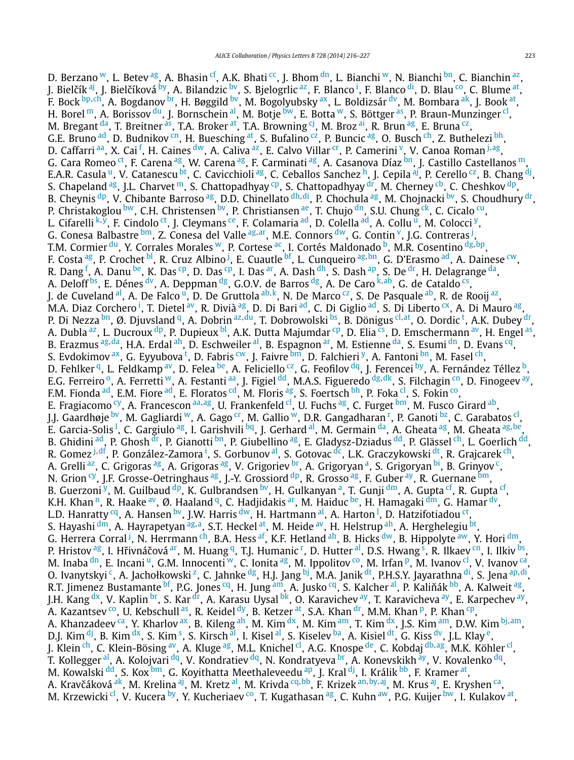D. Berzano <sup>w</sup>, L. Betev <sup>ag</sup>, A. Bhasin <sup>cf</sup>, A.K. Bhati <sup>cc</sup>, J. Bhom [dn,](#page-10-0) L. Bianchi <sup>w</sup>, N. Bianchi <sup>bn</sup>, C. Bianchin <sup>az</sup>, J. Bielčík <sup>[aj](#page-9-0)</sup>, J. B[i](#page-9-0)elčíková <sup>by</sup>, A. Bilandzic <sup>bv</sup>, S. Bjelogrlic <sup>az</sup>, F. Blanco <sup>i</sup>, F. Blanco <sup>di</sup>, D. Blau <sup>co</sup>, C. Blume <sup>at</sup>, F. Bock <sup>[bp](#page-10-0),ch</sup>, A. Bogdanov <sup>br</sup>, H. Bøggild <sup>bv</sup>, M. Bogolyubsky <sup>ax</sup>, L. Boldizsár <sup>dv</sup>, M. Bombara <sup>ak</sup>, J. Book <sup>at</sup>, H. Borel <sup>m</sup>, A. Borissov <sup>du</sup>, J. Bornschein <sup>al</sup>, M. Botje <sup>[bw](#page-10-0)</sup>, E. Botta <sup>w</sup>, S. Böttger <sup>as</sup>, P. Braun-Munzinger <sup>cl</sup>, M. Bregant [da,](#page-10-0) T. Breitner [as,](#page-9-0) T.A. Broker [at,](#page-9-0) T.A. Browning [cj,](#page-10-0) M. Broz [ai,](#page-9-0) R. Brun [ag,](#page-9-0) E. Bruna [cz,](#page-10-0) G.E. Bruno [ad,](#page-9-0) D. Budnikov [cn,](#page-10-0) H. Buesching [at,](#page-9-0) S. Bufalino [cz,](#page-10-0) P. Buncic [ag,](#page-9-0) O. Busch [ch,](#page-10-0) Z. Buthelezi [bh,](#page-10-0) D. Ca[f](#page-9-0)farri <sup>aa</sup>, X. Cai <sup>f</sup>, H. Caines <sup>dw</sup>, A. Caliva <sup>az</sup>, E. Calvo Villar <sup>cr</sup>, P. Camerini <sup>v</sup>, V. Canoa Roman <sup>[j](#page-9-0), ag</sup>, G. Cara Romeo <sup>ct</sup>, F. Carena <sup>[ag](#page-9-0)</sup>, W. Carena <sup>ag</sup>, F. Carminati <sup>ag</sup>, A. Casanova Díaz <sup>bn</sup>, J. Castillo Castellanos <sup>m</sup>, E.A.R. Casula <sup>u</sup>, V. Catanescu <sup>bt</sup>, C. Cavicchioli <sup>ag</sup>, C. Ceballos Sanchez <sup>h</sup>, J. Cepila <sup>aj</sup>, P. Cerello <sup>cz</sup>, B. Chang <sup>dj</sup>, S. Chapeland  $a^g$ , J.L. Charvet [m,](#page-9-0) S. Chattopadhyay <sup>cp</sup>, S. Chattopadhyay [dr,](#page-10-0) M. Cherney [cb,](#page-10-0) C. Cheshkov [dp,](#page-10-0) B. Cheynis <sup>dp</sup>, V. Chibante Barroso [ag,](#page-9-0) D.D. Chinellato [dh](#page-10-0),[di](#page-10-0), P. Chochula ag, M. Chojnacki by, S. Choudhury dr P. Christakoglou [bw,](#page-10-0) C.H. Christensen [bv,](#page-10-0) P. Christiansen [ae,](#page-9-0) T. Chujo [dn](#page-10-0), S.U. Chung [ck,](#page-10-0) C. Cicalo [cu](#page-10-0), L. Cifarelli <sup>[k](#page-9-0),[y](#page-9-0)</sup>, F. Cindolo <sup>[ct](#page-10-0)</s[u](#page-9-0)p>, J. Cleymans <sup>ce</sup>, F. Colamaria <sup>ad</sup>, D. Colella <sup>ad</sup>, A. Collu <sup>u</sup>, M. Colocci <sup>y</sup>, G. Conesa Balbastre <sup>[bm](#page-10-0)</sup>, Z. Conesa del Valle <sup>[ag](#page-9-0), ar</sup>, M.E. Connors <sup>dw</sup>, G. Contin <sup>v</sup>, J.G. Contreras <sup>[j](#page-9-0)</sup>, T.M. Cormier [du](#page-10-0), Y. Corrales Morales W. P. Cortese [ac,](#page-9-0) I. Cortés Maldonado <sup>b</sup>, M.R. Cosentino [dg](#page-10-0), bp. F. Costa <sup>ag</sup>, P. Crochet <sup>bl</sup>, R. Cruz Albino <sup>j</sup>, E. Cuautle <sup>bf</sup>, L. Cunqueiro <sup>[ag,](#page-9-0) bn</sup>, G. D'Erasmo <sup>ad</sup>, A. Dainese <sup>cw</sup>, R. Dang <sup>[f](#page-9-0)</sup>, A. Danu <sup>be</sup>, K. Das <sup>[cp](#page-10-0)</sup>, D. Das <sup>cp</sup>, I. Das <sup>ar</sup>, A. Dash <sup>dh</sup>, S. Dash <sup>ap</sup>, S. De <sup>dr</sup>, H. Delagrange <sup>da</sup>, A. Deloff [bs,](#page-10-0) E. Dénes [dv](#page-10-0), A. Deppman [dg,](#page-10-0) G.O.V. de Barros [dg,](#page-10-0) A. De Caro [k](#page-9-0)*,*[ab,](#page-9-0) G. de Cataldo [cs,](#page-10-0) J. de Cuveland <sup>al</sup>, A. De Falco <sup>u</sup>, D. De Gruttola [ab](#page-9-0), [k](#page-9-0), N. De Marco <sup>cz</sup>, S. De Pasquale [ab,](#page-9-0) R. de Rooij <sup>az</sup>, M.A. D[i](#page-9-0)az Corchero <sup>i</sup>, T. Dietel <sup>av</sup>, R. Divià <sup>ag</sup>, D. Di Bari <sup>ad</sup>, C. Di Giglio <sup>ad</sup>, S. Di Liberto <sup>cx</sup>, A. Di Mauro <sup>ag</sup>, P. Di Nezza <sup>bn</sup>, Ø. Djuvsland <sup>q</sup>, A. Dobrin <sup>[az](#page-10-0),du</sup>, T. Dobrowolski <sup>bs</sup>, B. Dönigus <sup>[cl](#page-10-0),a[t](#page-9-0)</sup>, O. Dordic <sup>t</sup>, A.K. Dubey <sup>dr</sup>, A. Du[bl](#page-10-0)a <sup>az</sup>, L. Ducroux <sup>dp</sup>, P. Dupieux <sup>bl</sup>, A.K. Dutta Majumdar <sup>cp</sup>, D. Elia c<sup>s</sup>, D. Emschermann <sup>[av](#page-10-0)</sup>, H. Engel <sup>as</sup>, B. Erazmus [ag](#page-9-0), [da,](#page-10-0) H.A. Erdal [ah,](#page-9-0) D. Eschweiler [al,](#page-9-0) B. Espagnon [ar,](#page-9-0) M. Estienne da, S. Esumi [dn,](#page-10-0) D. Evans [cq,](#page-10-0) S. Evdokimov <sup>ax</sup>, G. Eyyubova <sup>[t](#page-9-0)</sup>, D. Fabris <sup>cw</sup>, J. Faivre <sup>bm</sup>, D. Falchieri <sup>y</sup>, A. Fantoni <sup>bn</sup>, M. Fasel <sup>ch</sup>, D. Fehlker <sup>q</sup>, L. Feldkamp <sup>av</sup>, D. Felea <sup>be</sup>, A. Feliciello <sup>cz</sup>, G. Feofilov <sup>dq</sup>, J. Ferencei <sup>by</sup>, A. Fernández Téllez <sup>b</sup>, E.G. Ferreir[o](#page-9-0) <sup>o</sup>, A. Ferretti <sup>[w](#page-9-0)</sup>, A. Festanti <sup>aa</sup>, J. Figiel <sup>dd</sup>, M.A.S. Figueredo <sup>[dg](#page-10-0),[dk](#page-10-0)</sup>, S. Filchagin <sup>cn</sup>, D. Finogeev <sup>ay</sup>, F.M. Fionda <sup>ad</sup>, E.M. Fiore <sup>ad</sup>, E. Floratos <sup>cd</sup>, M. Floris <sup>ag</sup>, S. Foertsch <sup>bh</sup>, P. Foka <sup>[cl](#page-10-0)</sup>, S. Fokin <sup>co</sup>, E. Fragiacomo <sup>cy</sup>, A. Francescon [aa](#page-9-0), [ag,](#page-9-0) U. Frankenfeld <sup>cl</sup>, U. Fuchs ag, C. Furget [bm,](#page-10-0) M. Fusco Girard [ab,](#page-9-0) J.J. Gaardhøje <sup>[bv](#page-10-0)</sup>, M. Gagliardi <sup>w</sup>, A. Gago <sup>[cr](#page-10-0)</sup>, M. Gallio <sup>w</sup>, D.R. Gangadha[r](#page-9-0)an <sup>r</sup>, P. Ganoti <sup>bz</sup>, C. Garabatos <sup>[cl](#page-10-0)</sup>, E. Garcia-So[l](#page-9-0)is <sup>l</sup>, C. Gargiulo <sup>ag</sup>, I. Garishvili <sup>bq</sup>, J. Gerhard <sup>al</sup>, M. Germain <sup>da</sup>, A. Gheata <sup>ag</sup>, M. Gheata <sup>[ag,](#page-9-0) be</sup>, B. Ghidini [ad,](#page-9-0) P. Ghosh [dr,](#page-10-0) P. Gianotti [bn,](#page-10-0) P. Giubellino [ag,](#page-9-0) E. Gladysz-Dziadus [dd,](#page-10-0) P. Glässel [ch,](#page-10-0) L. Goerlich dd, R. Gomez <sup>[j](#page-9-0),df</sup>, P. González-Zamora <sup>[i](#page-9-0)</sup>, S. Gorbunov <sup>al</sup>, S. Gotovac <sup>dc</sup>, L.K. Graczykowski <sup>dt</sup>, R. Grajcarek <sup>ch</sup>, A. Grelli <sup>az</sup>, C. Grigoras <sup>ag</sup>, A. Grigoras <sup>ag</sup>, V. Grigoriev <sup>br</sup>, A. Grigoryan <sup>a</sup>, S. Grigoryan <sup>bi</sup>, B. Grinyov<sup>[c](#page-9-0)</sup>, N. Grion C., J.F. Grosse-Oetringhaus [ag](#page-9-0), J.-Y. Grossiord [dp,](#page-10-0) R. Grosso [ag,](#page-9-0) F. Guber [ay,](#page-10-0) R. Guernane [bm,](#page-10-0) B. Guerzoni<sup>y</sup>, M. Guilbaud dp, K. Gulbrandsen b[y,](#page-9-0) H. Gulk[a](#page-9-0)nyan <sup>a</sup>, T. Gunji [dm,](#page-10-0) A. Gupta [cf,](#page-10-0) R. Gupta cf, K.H. Khan <sup>n</sup>, R. Haake <sup>av</sup>, Ø. Haaland <sup>[q](#page-9-0)</sup>, C. Hadjidakis <sup>ar</sup>, M. Haiduc <sup>be</sup>, H. Hamagaki [dm,](#page-10-0) G. Hamar [dv](#page-10-0), L.D. Hanratty <sup>cq</sup>, A. Hansen <sup>bv</sup>, J.W. Harris <sup>dw</sup>, H. Hartmann <sup>a[l](#page-9-0)</sup>, A. Harton <sup>l</sup>, D. Hatzifotiadou <sup>[ct](#page-10-0)</sup>, S. Hayashi <sup>dm</sup>, A. Hayrapetyan <sup>[ag](#page-9-0),a</sup>, S.T. Heckel <sup>at</sup>, M. Heide <sup>[av](#page-10-0)</sup>, H. Helstrup <sup>ah</sup>, A. Herghelegiu <sup>bt</sup>, G. Herrera Corral <sup>[j](#page-9-0)</sup>, N. Herrmann <sup>ch</sup>, B.A. Hess <sup>af</sup>, K.F. Hetland <sup>ah</sup>, B. Hicks <sup>dw</sup>, B. Hippolyte <sup>aw</sup>, Y. Hori <sup>dm</sup>, P. H[r](#page-9-0)i[s](#page-9-0)tov <sup>ag</sup>, I. Hřivnáčová <sup>ar</sup>, M. Huang <sup>q</sup>, T.J. Humanic <sup>r</sup>, D. Hutter <sup>al</sup>, D.S. Hwang <sup>s</sup>, R. Ilkaev <sup>cn</sup>, I. Ilkiv <sup>bs</sup>, M. Inaba [dn,](#page-10-0) E. Incani <sup>u</sup>, G.M. Innocenti <sup>w</sup>, C. Ionita <sup>ag</sup>, M. Ippolitov <sup>co</sup>, M. Irfan <sup>p</sup>, M. Ivanov <sup>cl</sup>, V. Ivanov <sup>ca</sup>, O. Ivanytskyi <sup>c</sup>, A. Jachołkowski <sup>z</sup>, C. Jahnke <sup>dg</sup>, H.J. Jang <sup>bj</sup>, M.A. Janik <sup>dt</sup>, P.H.S.Y. Jayarathna <sup>[di](#page-10-0)</sup>, S. Jena <sup>[ap](#page-9-0), di</sup>, R.T. Jimenez Bustamante <sup>bf</sup>, P.G. Jones <sup>cq</sup>, H. Jung <sup>am</sup>, A. Jusko <sup>cq</sup>, S. Kalcher <sup>al</sup>, P. Kaliňák <sup>bb</sup>, A. Kalweit <sup>ag</sup>, J.H. Kang <sup>dx</sup>, V. Kaplin <sup>[br](#page-10-0)</sup>, S. Kar <sup>dr</sup>, A. Karasu Uysal <sup>bk</sup>, O. Karavichev <sup>[ay](#page-10-0)</sup>, T. Karavicheva <sup>ay</sup>, E. Karpechev <sup>ay</sup>, A. Kazantsev <sup>co</sup>, U. Kebschull <sup>[as](#page-9-0)</sup>, R. Keidel <sup>[dy](#page-11-0)</sup>, B. Ketzer <sup>at</sup>, S.A. Khan <sup>dr</sup>, M.M. Khan <sup>p</sup>, P. Khan <sup>cp</sup>, A. Khanzadeev <sup>ca</sup>, Y. Kharlov <sup>ax</sup>, B. Kileng <sup>ah</sup>, M. Kim <sup>dx</sup>, M. Kim <sup>am</sup>, T. Kim <sup>dx</sup>, J.S. Kim <sup>am</sup>, D.W. Kim <sup>[bj](#page-10-0),am</sup>, D.J. Kim <[s](#page-9-0)up>dj</sup>, B. Kim <sup>dx</sup>, S. Kim <sup>s</sup>, S. Kirsch <sup>al</sup>, I. Kisel <sup>al</sup>, S. Kiselev <sup>ba</sup>, A. Kisiel <sup>dt</sup>, G. Kiss <sup>dv</sup>, J.L. Klay <sup>e</sup>, J. Klein [ch,](#page-10-0) C. Klein-Bösing [av,](#page-10-0) A. Kluge [ag,](#page-9-0) M.L. Knichel [cl,](#page-10-0) A.G. Knospe [de,](#page-10-0) C. Kobdaj [db](#page-10-0)*,*[ag,](#page-9-0) M.K. Köhler [cl,](#page-10-0) T. Kollegger [al,](#page-9-0) A. Kolojvari <sup>dq</sup>, V. Kondratiev <sup>dq</sup>, N. Kondratyeva <sup>[br](#page-10-0)</sup>, A. Konevskikh <sup>ay</sup>, V. Kovalenko <sup>dq</sup>, M. Kowalski <sup>dd</sup>, S. Kox [bm](#page-10-0), G. Koyithatta Meethaleveedu [ap,](#page-9-0) J. Kral [dj,](#page-10-0) I. Králik [bb,](#page-10-0) F. Kramer [at,](#page-9-0) A. Kravčáková <sup>ak</sup>, M. Krelina <sup>aj</sup>, M. Kretz <sup>al</sup>, M. Krivda <sup>[cq](#page-10-0),[bb](#page-10-0)</sup>, F. Krizek <sup>[an](#page-9-0),[by](#page-10-0),[aj](#page-9-0)</sup>, M. Krus <sup>aj</sup>, E. Kryshen <sup>ca</sup>, M. Krzewicki <sup>cl</sup>, V. Kucera [by,](#page-10-0) Y. Kucheriaev <sup>co</sup>, T. Kugathasan <sup>[ag](#page-9-0)</sup>, C. Kuhn <sup>aw</sup>, P.G. Kuijer [bw](#page-10-0), I. Kulakov <sup>at</sup>,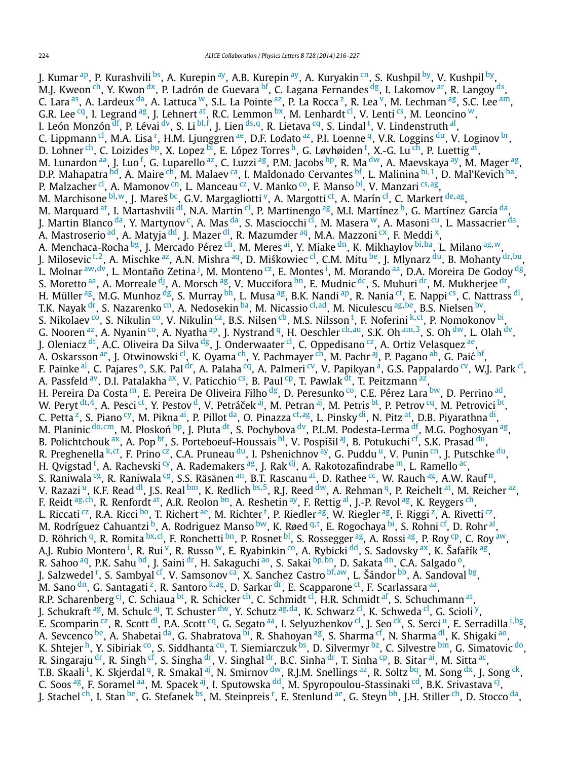J. Kumar <sup>ap</sup>, P. Kurashvili <sup>bs</sup>, A. Kurepin <sup>ay</sup>, A.B. Kurepin <sup>ay</sup>, A. Kuryakin <sup>cn</sup>, S. Kushpil <sup>[by](#page-10-0)</sup>, V. Kushpil <sup>by</sup>, M.J. Kweon <sup>ch</sup>, Y. Kwon <sup>dx</sup>, P. Ladrón de Guevara <sup>[bf](#page-10-0)</sup>, C. Lagana Fernandes <sup>dg</sup>, I. Lakomov <sup>ar</sup>, R. Langoy <sup>[ds](#page-10-0)</sup> C. Lara <sup>as</sup>, A. Lardeux <sup>da</sup>, A. Lattuca <sup>w</sup>, S.L. La Pointe <sup>az</sup>, P. La Rocca <sup>z</sup>, R. Lea <sup>v</sup>, M. Lechman <sup>ag</sup>, S.C. Lee <sup>am</sup>, G.R. Lee <sup>cq</sup>, I. Legrand <sup>ag</sup>, J. Lehnert <sup>at</sup>, R.C. Lemmon <sup>bx</sup>, M. Lenhardt <sup>cl</sup>, V. Lenti <sup>cs</sup>, M. Leoncino <sup>w</sup>, I. León Monzón<sup> df</sup>, P. Lévai <sup>dv</sup>, S. Li <sup>[bl](#page-10-0),[f](#page-9-0)</sup>, J. Lien <sup>[ds](#page-10-0),q</sup>, R. Lie[t](#page-9-0)ava <sup>cq</sup>, S. Lindal <sup>t</sup>, V. Lindenstruth <sup>al</sup>, C. Lippmann <sup>cl</sup>, M.A. Lisa <sup>[r](#page-9-0)</sup>, H.M. Ljunggren <sup>ae</sup>, D.F. Lodato <sup>[az](#page-10-0)</sup>, P.I. Loenne <sup>q</sup>, V.R. Loggins <sup>du</sup>, V. Loginov <sup>br</sup>, D. Lohner <sup>ch</sup>, C. Loizides <sup>bp</sup>, X. Lopez <sup>bl</sup>, E. López Torres <sup>h</sup>, G. Løvhøiden <sup>[t](#page-9-0)</sup>, X.-G. Lu <sup>ch</sup>, P. Luettig <sup>at</sup>, M. Lunardon <sup>[aa](#page-9-0)</sup>, J. Luo <sup>[f](#page-9-0)</sup>, G. Luparello <sup>az</sup>, C. Luzzi <sup>ag</sup>, P.M. Jacobs <sup>bp</sup>, R. Ma <sup>dw</sup>, A. Maevsk[ay](#page-10-0)a <sup>ay</sup>, M. Mager <sup>ag</sup>, D.P. Mahapatra <sup>bd</sup>, A. Maire [ch,](#page-10-0) M. Malaev <sup>ca</sup>, I. Maldonado Cervantes [bf,](#page-10-0) L. Malinina [bi](#page-10-0), [1,](#page-11-0) D. Mal'Kevich <sup>ba</sup>, P. Malzacher <sup>cl</sup>, A. Mamonov <sup>cn</sup>, L. Manceau <sup>cz</sup>, V. Manko <sup>co</sup>, F. Manso <sup>bl</sup>, V. Manzari <sup>[cs](#page-10-0),ag</sup>, M. Marchisone <sup>[bl](#page-10-0),w</sup>, J. Mareš <sup>bc</sup>, G.V. Margagliotti <sup>v</sup>, A. Margotti <sup>ct</sup>, A. Marín <sup>cl</sup>, C. Markert <sup>[de](#page-10-0),ag</sup>, M. Marquard [at,](#page-9-0) I. Martashvili [dl,](#page-10-0) N.A. Martin [cl,](#page-10-0) P. Martinengo [ag,](#page-9-0) M.I. Martínez [b,](#page-9-0) G. Martínez García [da,](#page-10-0) J. Martin Blanco <sup>da</sup>, Y. Martynov<sup>c</sup>, A. Mas <sup>da</sup>, S. Masciocchi <sup>cl</sup>, M. Masera <sup>w</sup>, A. Masoni <sup>cu</sup>, L. Massacrier <sup>da</sup>, A. Mastroserio <sup>ad</sup>, A. Matyja <sup>[dd](#page-10-0)</sup>, J. Mazer <sup>[dl](#page-10-0)</sup>, R. Mazumder <sup>aq</sup>, M.A. Mazzoni <sup>cx</sup>, F. Meddi <sup>x</sup>, A. Menchaca-Rocha [bg,](#page-10-0) J. Mercado Pérez [ch](#page-10-0), M. Meres [ai,](#page-9-0) Y. Miake [dn,](#page-10-0) K. Mikhaylov [bi](#page-10-0)*,*[ba,](#page-10-0) L. Milano [ag](#page-9-0)*,*[w,](#page-9-0) J. Milosevic <sup>[t](#page-9-0), 2</sup>, A. Mischke <sup>az</sup>, A.N. Mishra <sup>aq</sup>, D. Miskowiec <sup>cl</sup>, C.M. Mitu <sup>be</sup>, J. Mlynarz <sup>du</sup>, B. Mohanty <sup>[dr](#page-10-0), bu</sup>, L. Molnar <sup>[aw](#page-10-0),dv</sup>, L. Montaño Zetina <sup>[j](#page-9-0)</sup>, M. Monteno <sup>cz</sup>, E. Montes <sup>[i](#page-9-0)</sup>, M. Morando <sup>aa</sup>, D.A. Moreira De Godoy <sup>dg</sup>, S. Moretto [aa,](#page-9-0) A. Morreale [dj,](#page-10-0) A. Morsch [ag,](#page-9-0) V. Muccifora [bn,](#page-10-0) E. Mudnic [dc,](#page-10-0) S. Muhuri [dr,](#page-10-0) M. Mukherjee dr, H. Müller <sup>ag</sup>, M.G. Munhoz <sup>dg</sup>, S. Murray <sup>bh</sup>, L. Musa <sup>ag</sup>, B.K. Nandi <sup>ap</sup>, R. Nania <sup>ct</sup>, E. Nappi <sup>cs</sup>, C. Nattrass <sup>dl</sup>, T.K. Nayak <sup>dr</sup>, S. Nazarenko <sup>cn</sup>, A. Nedosekin <sup>ba</sup>, M. Nicassio <sup>[cl](#page-10-0),ad</sup>, M. Niculescu <sup>[ag](#page-9-0), [be](#page-10-0)</sup>, B.S. Nielsen <sup>bv</sup>, S. Nikolaev <sup>co</sup>, S. Nikulin <sup>co</sup>, V. Nikulin <sup>[ca](#page-10-0)</sup>, B.S. Nilsen <sup>cb</sup>, M.S. Nilsson <sup>[t](#page-9-0)</sup>, F. Noferini <sup>[k](#page-9-0),ct</sup>, P. Nomokonov <sup>bi</sup>, G. Nooren <sup>az</sup>, A. Nyanin<sup>co</sup>, A. Nyatha <sup>ap</sup>, J. Nystrand <sup>q</sup>, H. Oes[ch](#page-10-0)ler <sup>ch,au</sup>, S.K. Oh <sup>[am](#page-9-0), 3</sup>, S. Oh <sup>dw</sup>, L. Olah <sup>dv</sup>, J. Oleniacz <sup>dt</sup>, A.C. Oliveira Da Silva <sup>dg</sup>, J. Onderwaater <sup>cl</sup>, C. Oppedisano <sup>cz</sup>, A. Ortiz Velasquez <sup>ae</sup>, A. Oskarsson [ae,](#page-9-0) J. Otwinowski [cl](#page-10-0), K. Oyama [ch,](#page-10-0) Y. Pa[ch](#page-10-0)mayer ch, M. Pachr [aj](#page-9-0), P. Pagano [ab,](#page-9-0) G. Paić [bf,](#page-10-0) F. Painke <sup>al</sup>, C. Pajares <sup>[o](#page-9-0)</sup>, S.K. Pal <sup>dr</sup>, A. Palaha <sup>cq</sup>, A. Palmeri <sup>cv</sup>, V. Papikyan <sup>a</sup>, G.S. Pappalardo <sup>cv</sup>, W.J. Park <sup>cl</sup>, A. Passfeld <sup>[av](#page-10-0)</sup>, D.I. Patalakha <sup>ax</sup>, V. Paticchio <sup>cs</sup>, B. Paul <sup>cp</sup>, T. Pawlak <sup>[dt](#page-10-0)</sup>, T. Peitzmann <sup>az</sup>, H. Pereira Da Costa<sup>m</sup>, E. Pereira De Oliveira Filho <sup>dg</sup>, D. Peresunko<sup>co</sup>, C.E. Pérez Lara [bw,](#page-10-0) D. Perrino <sup>ad</sup>, W. Peryt <sup>[dt](#page-10-0), 4</sup>, A. Pesci <sup>ct</sup>, Y. Pestov <sup>d</sup>, V. Petráček [aj](#page-9-0), M. Petran [aj,](#page-9-0) M. Petris <sup>bt</sup>, P. Petrov <sup>cq</sup>, M. Petrovici <sup>bt</sup>, C. Petta <sup>z</sup>, S. Piano <sup>cy</sup>, M. Pikna <sup>ai</sup>, P. Pillot <sup>da</sup>, O. Pinazza <sup>[ct](#page-10-0),ag</sup>, L. Pinsky <sup>di</sup>, N. Pitz <sup>at</sup>, D.B. Piyarathna <sup>di</sup>, M. Planinic <sup>[do](#page-10-0),cm</sup>, M. Płoskoń <sup>[bp](#page-10-0)</sup>, J. Pluta <sup>[dt](#page-10-0)</sup>, S. Pochybova <sup>dv</sup>, P.L.M. Podesta-Lerma <sup>df</sup>, M.G. Poghosyan <sup>ag</sup>, B. Polichtchouk [ax,](#page-10-0) A. Pop [bt,](#page-10-0) S. Porteboeuf-Houssais [bl,](#page-10-0) V. Pospíšil [aj](#page-9-0), B. Potukuchi [cf,](#page-10-0) S.K. Prasad [du,](#page-10-0) R. Preghenella <sup>[k](#page-9-0),ct</sup>, F. Prino <sup>cz</sup>, C.A. Pruneau [du,](#page-10-0) I. Pshenichnov [ay](#page-10-0), G. Puddu [u,](#page-9-0) V. Punin [cn,](#page-10-0) J. Putschke du, H. Qvigs[t](#page-9-0)ad <sup>t</sup>, A. R[ac](#page-9-0)hevski <sup>cy</sup>, A. Rademakers <sup>ag</sup>, J. Rak <sup>dj</sup>, A. Rakotozafindrabe <sup>m</sup>, L. Ramello <sup>ac</sup>, S. Raniwala <sup>cg</sup>, R. Raniwala <sup>cg</sup>, S.S. Räsänen <sup>an</sup>, B.T. Rascanu <sup>at</sup>, D. Rathee <sup>cc</sup>, W. Rauch <sup>ag</sup>, A.W. Rauf <sup>n</sup>, V. Razazi <sup>u</sup>, K.F. Read <sup>dl</sup>, J.S. Real <sup>bm</sup>, K. Redlich <sup>[bs](#page-10-0),5</sup>, R.J. Reed <sup>[dw](#page-11-0)</sup>, A. Rehman <sup>q</sup>, P. Reichelt <sup>at</sup>, M. Reicher <sup>az</sup>, F. Reidt<sup>[ag](#page-9-0),ch</sup>, R. Renfordt<sup>at</sup>, A.R. Reolon [bn,](#page-10-0) A. Reshetin [ay,](#page-10-0) F. Rettig [al,](#page-9-0) J.-P. Revol [ag,](#page-9-0) K. Reygers <sup>ch</sup>, L. Riccati <sup>[cz](#page-10-0)</sup>, R.A. Ricci <sup>bo</sup>, T. Richert <sup>[ae](#page-9-0)</sup>, M. Rich[t](#page-9-0)er <sup>t</sup>, P. Riedler <sup>[ag](#page-9-0)</sup>, W. Riegler <sup>ag</sup>, F. Riggi <sup>z</sup>, A. Rivetti <sup>cz</sup>, M. Rodríguez Cahuantzi <sup>b</sup>, A. Rodriguez Manso <sup>bw</sup>, K. Røed <sup>[q](#page-9-0), [t](#page-9-0)</sup>, E. Rogochaya <sup>bi</sup>, S. Rohni <sup>cf</sup>, D. Rohr <sup>al</sup>, D. Röhrich <sup>q</sup>, R. Romita [bx](#page-10-0), [cl](#page-10-0), F. Ronchetti [bn,](#page-10-0) P. Rosnet [bl,](#page-10-0) S. Rossegger <sup>[ag](#page-9-0)</sup>, A. Rossi <sup>ag</sup>, P. Roy <sup>cp</sup>, C. Roy <sup>aw</sup>, A.J. Rub[i](#page-9-0)o Montero <sup>i</sup>, R. Rui <sup>v</sup>, R. Russo <sup>w</sup>, E. Ryabinkin <sup>co</sup>, A. Rybicki <sup>dd</sup>, S. Sadovsky <sup>ax</sup>, K. Šafařík <sup>ag</sup>, R. Sahoo <sup>aq</sup>, P.K. Sahu <sup>bd</sup>, J. Saini <sup>[dr](#page-10-0)</sup>, H. Sakaguchi <sup>ao</sup>, S. Sakai <sup>[bp](#page-10-0),bn</sup>, D. Sakata <sup>dn</sup>, C.A. Salgad[o](#page-9-0) <sup>o</sup>, J. Salzwedel <sup>[r](#page-9-0)</sup>, S. Sambyal <sup>cf</sup>, V. Samsonov <sup>ca</sup>, X. Sanchez Castro <sup>[bf](#page-10-0),aw</sup>, L. Šándor <sup>bb</sup>, A. Sandoval <sup>bg</sup>, M. Sano <sup>dn</sup>, G. Santagati<sup> z</sup>, R. Santoro <sup>[k](#page-9-0), ag</sup>, D. Sarkar <sup>dr</sup>, E. Scapparone <sup>ct</sup>, F. Scarlassara <sup>aa</sup>, R.P. Scharenberg <sup>[cj](#page-10-0)</sup>, C. Schiaua <sup>bt</sup>, R. Schicker <sup>ch</sup>, C. Schmidt <sup>[cl](#page-10-0)</sup>, H.R. Schmidt <sup>af</sup>, S. Schuchmann <sup>at</sup>, J. Schukraft <sup>ag</sup>, M. Schulc <sup>aj</sup>, T. Schuster dw, Y. Schutz <sup>[ag,](#page-9-0) da</sup>, K. Schwarz <sup>[cl](#page-10-0)</sup>, K. Schweda <sup>cl</sup>, G. Scioli <sup>[y](#page-9-0)</sup>, E. Scomparin [cz,](#page-10-0) R. Scott [dl](#page-10-0), P.A. Scott [cq,](#page-10-0) G. Segato [aa](#page-9-0), I. Selyuzhenkov [cl,](#page-10-0) J. Seo [ck](#page-10-0), S. Serci [u,](#page-9-0) E. Serradilla [i](#page-9-0)*,*[bg,](#page-10-0) A. Sevcenco [be,](#page-10-0) A. Shabetai [da,](#page-10-0) G. Shabratova [bi,](#page-10-0) R. Shahoyan [ag,](#page-9-0) S. Sharma [cf,](#page-10-0) N. Sharma [dl,](#page-10-0) K. Shigaki [ao,](#page-9-0) K. Shtejer [h,](#page-9-0) Y. Sibiriak <sup>co</sup>, S. Siddhanta <sup>cu</sup>, T. Siemiarczuk <sup>bs</sup>, D. Silvermyr <sup>bz</sup>, C. Silvestre [bm,](#page-10-0) G. Simatovic [do,](#page-10-0) R. Singaraju <sup>[dr](#page-10-0)</sup>, R. Singh <sup>cf</sup>, S. Singha <sup>dr</sup>, V. Singhal <sup>dr</sup>, B.C. Sinha <sup>dr</sup>, T. Sinha <sup>cp</sup>, B. Sitar [ai,](#page-9-0) M. Sitta <sup>ac</sup>, T.B. Skaali <sup>[t](#page-9-0)</sup>, K. Skjerdal <sup>q</sup>, R. Smakal <sup>aj</sup>, N. Smirnov <sup>dw</sup>, R.J.M. Snellings <sup>az</sup>, R. Soltz <sup>bq</sup>, M. Song <sup>dx</sup>, J. Song <sup>ck</sup>, C. Soos [ag,](#page-9-0) F. Soramel [aa,](#page-9-0) M. Spacek [aj,](#page-9-0) I. Sputowska [dd,](#page-10-0) M. Spyropoulou-Stassinaki [cd,](#page-10-0) B.K. Srivastava [cj,](#page-10-0) J. Stachel <sup>ch</sup>, I. Stan <sup>be</sup>, G. Stefanek <sup>bs</sup>, M. Steinp[r](#page-9-0)eis <sup>r</sup>, E. Stenlund <sup>ae</sup>, G. Steyn <sup>bh</sup>, J.H. Stiller <sup>ch</sup>, D. Stocco <sup>da</sup>,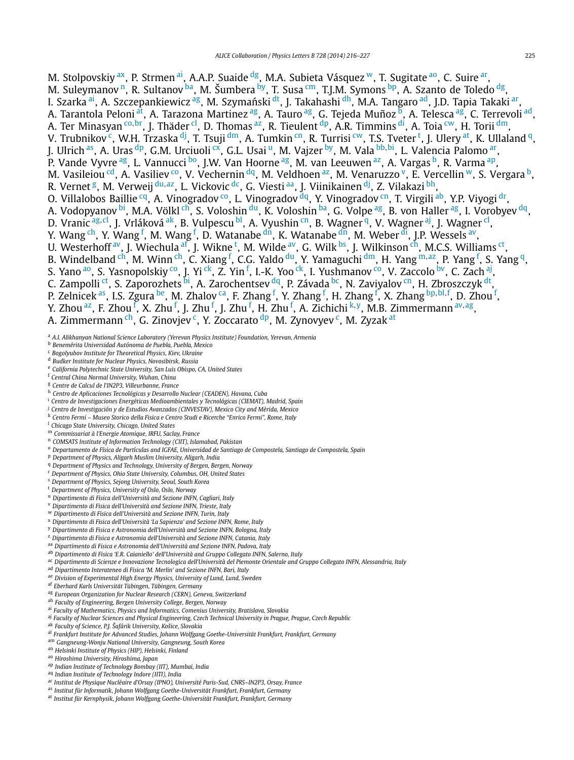<span id="page-9-0"></span>M. Stolpovskiy <sup>ax</sup>, P. Strmen ai, A.A.P. Suaide <sup>dg</sup>, M.A. Subieta Vásquez <sup>w</sup>, T. Sugitate <sup>ao</sup>, C. Suire ar, M. Suleymanov <sup>n</sup>, R. Sultanov <sup>ba</sup>, M. Šumbera <sup>by</sup>, T. Susa <sup>cm</sup>, T.J.M. Symons <sup>[bp](#page-10-0)</sup>, A. Szanto de Toledo <sup>dg</sup>, I. Szarka <sup>ai</sup>, A. Szczepankiewicz <sup>ag</sup>, M. Szymański <sup>dt</sup>, J. Takahashi <sup>dh</sup>, M.A. Tangaro <sup>ad</sup>, J.D. Tapia Takaki <sup>ar</sup>, A. Tarantola Peloni <sup>at</sup>, A. Tarazona Martinez <sup>ag</sup>, A. Tauro <sup>ag</sup>, G. Tejeda Muñoz <sup>b</sup>, A. Telesca <sup>ag</sup>, C. Terrevoli <sup>ad</sup>, A. Ter Minasyan <sup>[co](#page-10-0),br</sup>, J. Thäder <sup>cl</sup>, D. Thomas <sup>az</sup>, R. Tieulent <sup>dp</sup>, A.R. Timmins <sup>di</sup>, A. Toia <sup>cw</sup>, H. Torii <sup>dm</sup>, V. Trubnikov <sup>c</sup>, W.H. Trzaska <sup>dj</sup>, T. Tsuji <sup>dm</sup>, A. Tumkin <sup>cn</sup>, R. Turrisi <sup>cw</sup>, T.S. Tveter <sup>t</sup>, J. Ulery <sup>at</sup>, K. Ullaland <sup>q</sup>, J. Ulrich <sup>as</sup>, A. Uras <sup>dp</sup>, G.M. Urciuoli <sup>cx</sup>, G.L. Usai <sup>u</sup>, M. Vajzer <sup>by</sup>, M. Vala <sup>[bb](#page-10-0),bi</sup>, L. Valencia Palomo <sup>ar</sup>, P. Vande Vyvre <sup>ag</sup>, L. Vannucci <sup>[bo](#page-10-0)</sup>, J.W. Van Hoorne <sup>ag</sup>, M. van Leeuwen <sup>az</sup>, A. Vargas <sup>b</sup>, R. Varma <sup>ap</sup>, M. Vasileiou <sup>cd</sup>, A. Vasiliev <sup>co</sup>, V. Vechernin <sup>dq</sup>, M. Veldhoen <sup>az</sup>, M. Venaruzzo <sup>v</sup>, E. Vercellin <sup>w</sup>, S. Vergara <sup>b</sup>, R. Vernet <sup>g</sup>, M. Verweij <sup>[du](#page-10-0),az</sup>, L. Vickovic <sup>dc</sup>, G. Viesti <sup>aa</sup>, J. Viinikainen <sup>dj</sup>, Z. Vilakazi <sup>bh</sup>, O. Villalobos Baillie <sup>cq</sup>, A. Vinogradov <sup>co</sup>, L. Vinogradov <sup>dq</sup>, Y. Vinogradov <sup>cn</sup>, T. Virgili <sup>ab</sup>, Y.P. Viyogi <sup>dr</sup>, A. Vodopyanov <sup>bi</sup>, M.A. Völkl <sup>ch</sup>, S. Voloshin <sup>du</sup>, K. Voloshin <sup>ba</sup>, G. Volpe <sup>ag</sup>, B. von Haller <sup>ag</sup>, I. Vorobyev <sup>dq</sup>, D. Vranic <sup>ag, cl</sup>, J. Vrláková <sup>ak</sup>, B. Vulpescu <sup>bl</sup>, A. Vyushin <sup>cn</sup>, B. Wagner q, V. Wagner aj, J. Wagner <sup>cl</sup>, Y. Wang <sup>ch</sup>, Y. Wang <sup>f</sup>, M. Wang <sup>f</sup>, D. Watanabe <sup>dn</sup>, K. Watanabe <sup>dn</sup>, M. Weber <sup>[di](#page-10-0)</sup>, J.P. Wessels <sup>[av](#page-10-0)</sup>, U. Westerhoff <sup>av</sup>, J. Wiechula <sup>af</sup>, J. Wikne <sup>t</sup>, M. Wilde <sup>av</sup>, G. Wilk <sup>bs</sup>, J. Wilkinson <sup>ch</sup>, M.C.S. Williams <sup>ct</sup>, B. Windelband <sup>[ch](#page-10-0)</sup>, M. Winn <sup>ch</sup>, C. Xiang <sup>f</sup>, C.G. Yaldo <sup>du</sup>, Y. Yamaguchi <sup>dm</sup>, H. Yang <sup>m,az</sup>, P. Yang <sup>f</sup>, S. Yang <sup>q</sup>, S. Yano <sup>ao</sup>, S. Yasnopolskiy <sup>[co](#page-10-0)</sup>, J. Yi <sup>ck</sup>, Z. Yin <sup>f</sup>, I.-K. Yoo <sup>ck</sup>, I. Yushmanov <sup>co</sup>, V. Zaccolo <sup>bv</sup>, C. Zach <sup>aj</sup>, C. Zampolli <sup>ct</sup>, S. Zaporozhets <sup>bi</sup>, A. Zarochentsev <sup>dq</sup>, P. Závada <sup>bc</sup>, N. Zaviyalov <sup>cn</sup>, H. Zbroszczyk <sup>dt</sup>, P. Zelnicek <sup>as</sup>, I.S. Zgura <sup>be</sup>, M. Zhalov <sup>ca</sup>, F. Zhang <sup>f</sup>, Y. Zhang <sup>f</sup>, H. Zhang <sup>f</sup>, X. Zhang <sup>[bp](#page-10-0),[bl](#page-10-0),f</sup>, D. Zhou <sup>f</sup>, Y. Zhou <sup>az</sup>, F. Zhou <sup>f</sup>, X. Zhu <sup>f</sup>, J. Zhu <sup>f</sup>, J. Zhu <sup>f</sup>, H. Zhu <sup>f</sup>, A. Zichichi <sup>k,y</sup>, M.B. Zimmermann <sup>[av](#page-10-0), ag</sup>, A. Zimmermann [ch,](#page-10-0) G. Zinovjev c, Y. Zoccarato  $dp$ , M. Zynovyev c, M. Zyzak at

- <sup>a</sup> *A.I. Alikhanyan National Science Laboratory (Yerevan Physics Institute) Foundation, Yerevan, Armenia*
- <sup>b</sup> *Benemérita Universidad Autónoma de Puebla, Puebla, Mexico*
- <sup>c</sup> *Bogolyubov Institute for Theoretical Physics, Kiev, Ukraine*
- <sup>d</sup> *Budker Institute for Nuclear Physics, Novosibirsk, Russia*
- <sup>e</sup> *California Polytechnic State University, San Luis Obispo, CA, United States*
- <sup>f</sup> *Central China Normal University, Wuhan, China*
- <sup>g</sup> *Centre de Calcul de l'IN2P3, Villeurbanne, France*
- <sup>h</sup> *Centro de Aplicaciones Tecnológicas y Desarrollo Nuclear (CEADEN), Havana, Cuba*
- <sup>i</sup> *Centro de Investigaciones Energéticas Medioambientales y Tecnológicas (CIEMAT), Madrid, Spain*
- <sup>j</sup> *Centro de Investigación y de Estudios Avanzados (CINVESTAV), Mexico City and Mérida, Mexico*
- <sup>k</sup> *Centro Fermi Museo Storico della Fisica e Centro Studi e Ricerche "Enrico Fermi", Rome, Italy*
- <sup>l</sup> *Chicago State University, Chicago, United States*
- <sup>m</sup> *Commissariat à l'Energie Atomique, IRFU, Saclay, France*
- <sup>n</sup> *COMSATS Institute of Information Technology (CIIT), Islamabad, Pakistan*
- <sup>o</sup> *Departamento de Física de Partículas and IGFAE, Universidad de Santiago de Compostela, Santiago de Compostela, Spain*
- <sup>p</sup> *Department of Physics, Aligarh Muslim University, Aligarh, India*
- <sup>q</sup> *Department of Physics and Technology, University of Bergen, Bergen, Norway*
- <sup>r</sup> *Department of Physics, Ohio State University, Columbus, OH, United States*
- <sup>s</sup> *Department of Physics, Sejong University, Seoul, South Korea*
- <sup>t</sup> *Department of Physics, University of Oslo, Oslo, Norway*
- <sup>u</sup> *Dipartimento di Fisica dell'Università and Sezione INFN, Cagliari, Italy*
- <sup>v</sup> *Dipartimento di Fisica dell'Università and Sezione INFN, Trieste, Italy*
- <sup>w</sup> *Dipartimento di Fisica dell'Università and Sezione INFN, Turin, Italy*
- <sup>x</sup> *Dipartimento di Fisica dell'Università 'La Sapienza' and Sezione INFN, Rome, Italy*
- <sup>y</sup> *Dipartimento di Fisica e Astronomia dell'Università and Sezione INFN, Bologna, Italy*
- <sup>z</sup> *Dipartimento di Fisica e Astronomia dell'Università and Sezione INFN, Catania, Italy*
- aa *Dipartimento di Fisica e Astronomia dell'Università and Sezione INFN, Padova, Italy*
- ab *Dipartimento di Fisica 'E.R. Caianiello' dell'Università and Gruppo Collegato INFN, Salerno, Italy*
- ac *Dipartimento di Scienze e Innovazione Tecnologica dell'Università del Piemonte Orientale and Gruppo Collegato INFN, Alessandria, Italy*
- ad *Dipartimento Interateneo di Fisica 'M. Merlin' and Sezione INFN, Bari, Italy*
- ae *Division of Experimental High Energy Physics, University of Lund, Lund, Sweden*
- af *Eberhard Karls Universität Tübingen, Tübingen, Germany*
- ag *European Organization for Nuclear Research (CERN), Geneva, Switzerland*
- ah *Faculty of Engineering, Bergen University College, Bergen, Norway*
- ai *Faculty of Mathematics, Physics and Informatics, Comenius University, Bratislava, Slovakia*
- aj *Faculty of Nuclear Sciences and Physical Engineering, Czech Technical University in Prague, Prague, Czech Republic*
- ak *Faculty of Science, P.J. Šafárik University, Košice, Slovakia*
- al *Frankfurt Institute for Advanced Studies, Johann Wolfgang Goethe-Universität Frankfurt, Frankfurt, Germany*
- am *Gangneung-Wonju National University, Gangneung, South Korea*
- an *Helsinki Institute of Physics (HIP), Helsinki, Finland*
- ao *Hiroshima University, Hiroshima, Japan*
- ap *Indian Institute of Technology Bombay (IIT), Mumbai, India*
- aq *Indian Institute of Technology Indore (IITI), India*
- ar *Institut de Physique Nucléaire d'Orsay (IPNO), Université Paris-Sud, CNRS–IN2P3, Orsay, France*
- as *Institut für Informatik, Johann Wolfgang Goethe-Universität Frankfurt, Frankfurt, Germany*
- at *Institut für Kernphysik, Johann Wolfgang Goethe-Universität Frankfurt, Frankfurt, Germany*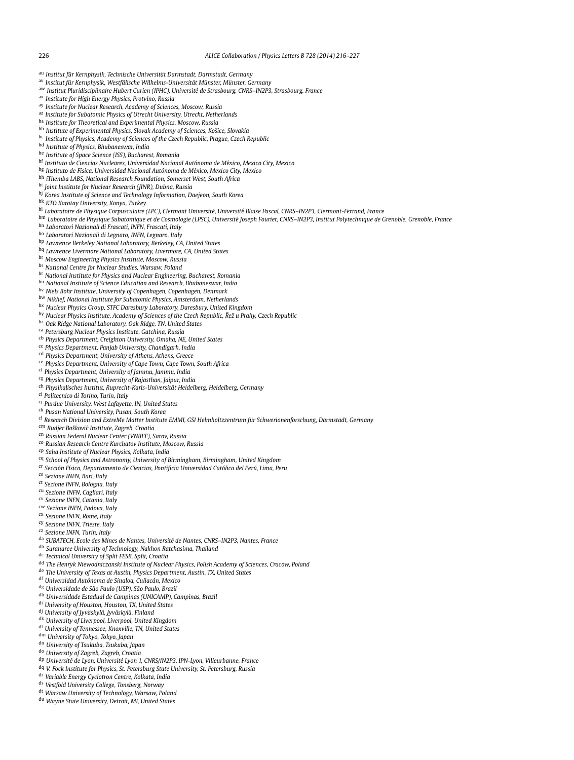- <span id="page-10-0"></span>au *Institut für Kernphysik, Technische Universität Darmstadt, Darmstadt, Germany*
- av *Institut für Kernphysik, Westfälische Wilhelms-Universität Münster, Münster, Germany*
- aw *Institut Pluridisciplinaire Hubert Curien (IPHC), Université de Strasbourg, CNRS–IN2P3, Strasbourg, France*
- ax *Institute for High Energy Physics, Protvino, Russia*
- ay *Institute for Nuclear Research, Academy of Sciences, Moscow, Russia*
- az *Institute for Subatomic Physics of Utrecht University, Utrecht, Netherlands*
- ba *Institute for Theoretical and Experimental Physics, Moscow, Russia*
- bb *Institute of Experimental Physics, Slovak Academy of Sciences, Košice, Slovakia*
- bc *Institute of Physics, Academy of Sciences of the Czech Republic, Prague, Czech Republic*
- bd *Institute of Physics, Bhubaneswar, India*
- be *Institute of Space Science (ISS), Bucharest, Romania*
- bf *Instituto de Ciencias Nucleares, Universidad Nacional Autónoma de México, Mexico City, Mexico*
- bg *Instituto de Física, Universidad Nacional Autónoma de México, Mexico City, Mexico*
- bh *iThemba LABS, National Research Foundation, Somerset West, South Africa*
- bi *Joint Institute for Nuclear Research (JINR), Dubna, Russia*
- bj *Korea Institute of Science and Technology Information, Daejeon, South Korea*
- bk *KTO Karatay University, Konya, Turkey*
- bl *Laboratoire de Physique Corpusculaire (LPC), Clermont Université, Université Blaise Pascal, CNRS–IN2P3, Clermont-Ferrand, France*
- bm *Laboratoire de Physique Subatomique et de Cosmologie (LPSC), Université Joseph Fourier, CNRS–IN2P3, Institut Polytechnique de Grenoble, Grenoble, France*
- bn *Laboratori Nazionali di Frascati, INFN, Frascati, Italy*
- bo *Laboratori Nazionali di Legnaro, INFN, Legnaro, Italy*
- bp *Lawrence Berkeley National Laboratory, Berkeley, CA, United States*
- bq *Lawrence Livermore National Laboratory, Livermore, CA, United States*
- br *Moscow Engineering Physics Institute, Moscow, Russia*
- bs *National Centre for Nuclear Studies, Warsaw, Poland*
- bt *National Institute for Physics and Nuclear Engineering, Bucharest, Romania*
- bu *National Institute of Science Education and Research, Bhubaneswar, India*
- bv *Niels Bohr Institute, University of Copenhagen, Copenhagen, Denmark*
- bw *Nikhef, National Institute for Subatomic Physics, Amsterdam, Netherlands*
- bx *Nuclear Physics Group, STFC Daresbury Laboratory, Daresbury, United Kingdom*
- by *Nuclear Physics Institute, Academy of Sciences of the Czech Republic, Rež u Prahy, Czech Republic ˇ*
- bz *Oak Ridge National Laboratory, Oak Ridge, TN, United States*
- ca *Petersburg Nuclear Physics Institute, Gatchina, Russia*
- cb *Physics Department, Creighton University, Omaha, NE, United States*
- cc *Physics Department, Panjab University, Chandigarh, India*
- cd *Physics Department, University of Athens, Athens, Greece*
- ce *Physics Department, University of Cape Town, Cape Town, South Africa*
- cf *Physics Department, University of Jammu, Jammu, India*
- cg *Physics Department, University of Rajasthan, Jaipur, India*
- ch *Physikalisches Institut, Ruprecht-Karls-Universität Heidelberg, Heidelberg, Germany*
- ci *Politecnico di Torino, Turin, Italy*
- cj *Purdue University, West Lafayette, IN, United States*
- ck *Pusan National University, Pusan, South Korea*
- cl *Research Division and ExtreMe Matter Institute EMMI, GSI Helmholtzzentrum für Schwerionenforschung, Darmstadt, Germany*
- cm *Rudjer Boškovi´c Institute, Zagreb, Croatia*
- cn *Russian Federal Nuclear Center (VNIIEF), Sarov, Russia*
- co *Russian Research Centre Kurchatov Institute, Moscow, Russia*
- cp *Saha Institute of Nuclear Physics, Kolkata, India*
- cq *School of Physics and Astronomy, University of Birmingham, Birmingham, United Kingdom*
- cr *Sección Física, Departamento de Ciencias, Pontificia Universidad Católica del Perú, Lima, Peru*
- cs *Sezione INFN, Bari, Italy*
- ct *Sezione INFN, Bologna, Italy*
- cu *Sezione INFN, Cagliari, Italy*
- cv *Sezione INFN, Catania, Italy*
- cw *Sezione INFN, Padova, Italy*
- 
- cx *Sezione INFN, Rome, Italy*
- cy *Sezione INFN, Trieste, Italy*
- cz *Sezione INFN, Turin, Italy*
- da *SUBATECH, Ecole des Mines de Nantes, Université de Nantes, CNRS–IN2P3, Nantes, France*
- db *Suranaree University of Technology, Nakhon Ratchasima, Thailand*
- dc *Technical University of Split FESB, Split, Croatia*
- dd *The Henryk Niewodniczanski Institute of Nuclear Physics, Polish Academy of Sciences, Cracow, Poland*
- de *The University of Texas at Austin, Physics Department, Austin, TX, United States*
- df *Universidad Autónoma de Sinaloa, Culiacán, Mexico*
- dg *Universidade de São Paulo (USP), São Paulo, Brazil*
- dh *Universidade Estadual de Campinas (UNICAMP), Campinas, Brazil*
- di *University of Houston, Houston, TX, United States*
- dj *University of Jyväskylä, Jyväskylä, Finland*
- dk *University of Liverpool, Liverpool, United Kingdom*
- dl *University of Tennessee, Knoxville, TN, United States*
- dm *University of Tokyo, Tokyo, Japan*
- dn *University of Tsukuba, Tsukuba, Japan*
- do *University of Zagreb, Zagreb, Croatia*
- dp *Université de Lyon, Université Lyon 1, CNRS/IN2P3, IPN-Lyon, Villeurbanne, France*
- dq *V. Fock Institute for Physics, St. Petersburg State University, St. Petersburg, Russia*
- dr *Variable Energy Cyclotron Centre, Kolkata, India*
- ds *Vestfold University College, Tonsberg, Norway*
- dt *Warsaw University of Technology, Warsaw, Poland*
- du *Wayne State University, Detroit, MI, United States*